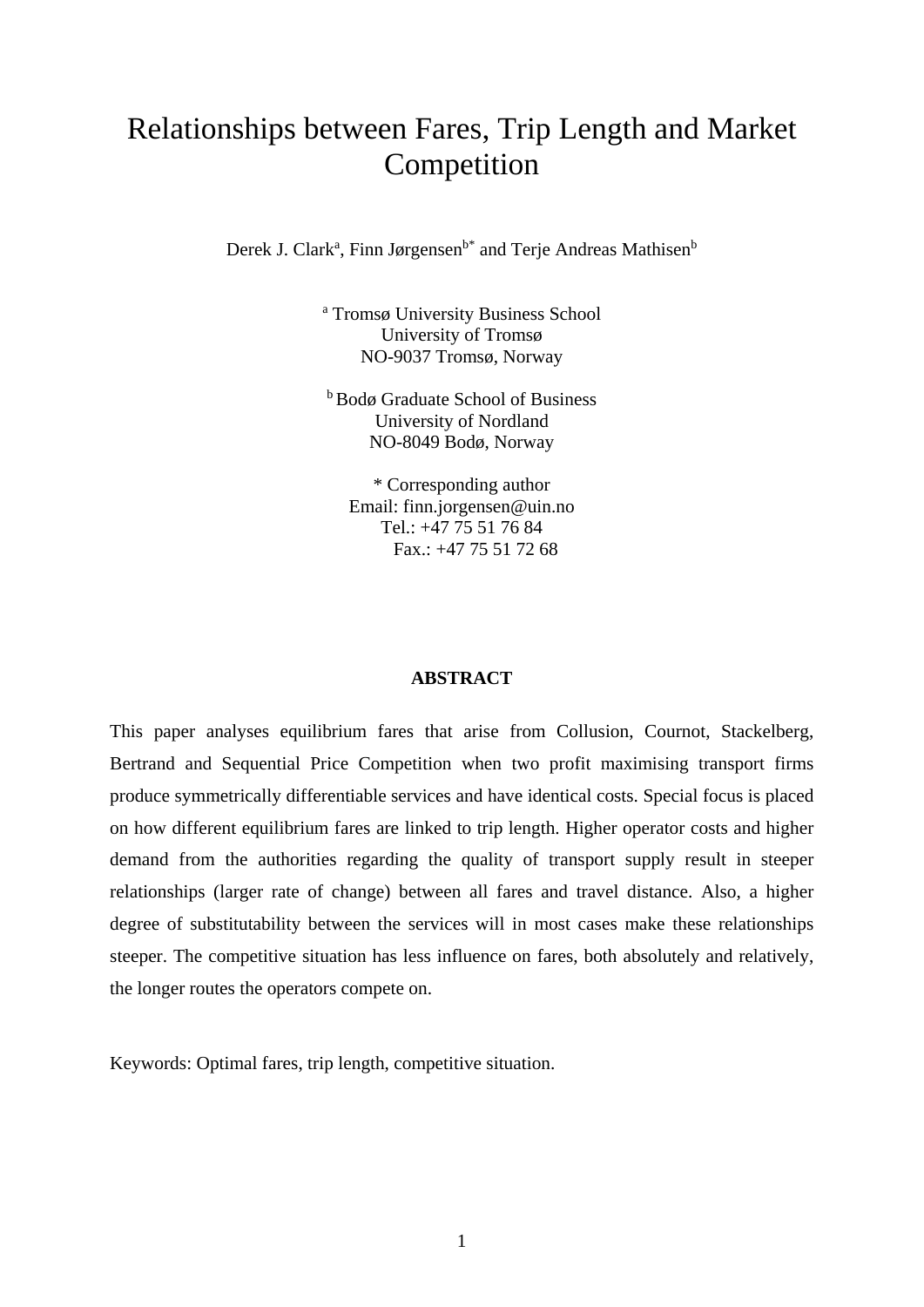# Relationships between Fares, Trip Length and Market Competition

Derek J. Clark<sup>a</sup>, Finn Jørgensen<sup>b\*</sup> and Terje Andreas Mathisen<sup>b</sup>

a Tromsø University Business School University of Tromsø NO-9037 Tromsø, Norway

b Bodø Graduate School of Business University of Nordland NO-8049 Bodø, Norway

\* Corresponding author Email: finn.jorgensen@uin.no Tel.: +47 75 51 76 84 Fax.: +47 75 51 72 68

#### **ABSTRACT**

This paper analyses equilibrium fares that arise from Collusion, Cournot, Stackelberg, Bertrand and Sequential Price Competition when two profit maximising transport firms produce symmetrically differentiable services and have identical costs. Special focus is placed on how different equilibrium fares are linked to trip length. Higher operator costs and higher demand from the authorities regarding the quality of transport supply result in steeper relationships (larger rate of change) between all fares and travel distance. Also, a higher degree of substitutability between the services will in most cases make these relationships steeper. The competitive situation has less influence on fares, both absolutely and relatively, the longer routes the operators compete on.

Keywords: Optimal fares, trip length, competitive situation.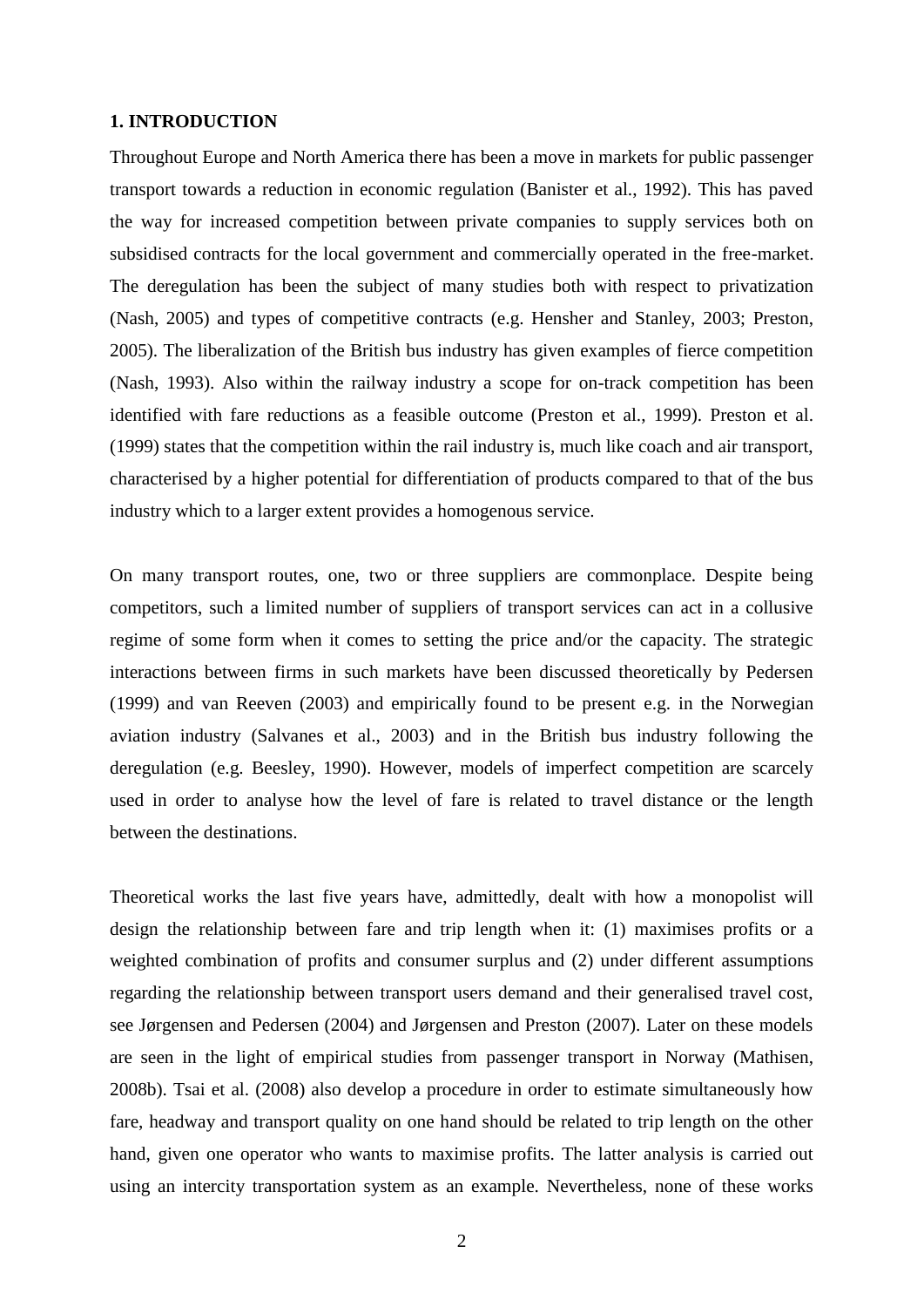#### **1. INTRODUCTION**

Throughout Europe and North America there has been a move in markets for public passenger transport towards a reduction in economic regulation (Banister et al., 1992). This has paved the way for increased competition between private companies to supply services both on subsidised contracts for the local government and commercially operated in the free-market. The deregulation has been the subject of many studies both with respect to privatization (Nash, 2005) and types of competitive contracts (e.g. Hensher and Stanley, 2003; Preston, 2005). The liberalization of the British bus industry has given examples of fierce competition (Nash, 1993). Also within the railway industry a scope for on-track competition has been identified with fare reductions as a feasible outcome (Preston et al., 1999). Preston et al. (1999) states that the competition within the rail industry is, much like coach and air transport, characterised by a higher potential for differentiation of products compared to that of the bus industry which to a larger extent provides a homogenous service.

On many transport routes, one, two or three suppliers are commonplace. Despite being competitors, such a limited number of suppliers of transport services can act in a collusive regime of some form when it comes to setting the price and/or the capacity. The strategic interactions between firms in such markets have been discussed theoretically by Pedersen (1999) and van Reeven (2003) and empirically found to be present e.g. in the Norwegian aviation industry (Salvanes et al., 2003) and in the British bus industry following the deregulation (e.g. Beesley, 1990). However, models of imperfect competition are scarcely used in order to analyse how the level of fare is related to travel distance or the length between the destinations.

Theoretical works the last five years have, admittedly, dealt with how a monopolist will design the relationship between fare and trip length when it: (1) maximises profits or a weighted combination of profits and consumer surplus and (2) under different assumptions regarding the relationship between transport users demand and their generalised travel cost, see Jørgensen and Pedersen (2004) and Jørgensen and Preston (2007). Later on these models are seen in the light of empirical studies from passenger transport in Norway (Mathisen, 2008b). Tsai et al. (2008) also develop a procedure in order to estimate simultaneously how fare, headway and transport quality on one hand should be related to trip length on the other hand, given one operator who wants to maximise profits. The latter analysis is carried out using an intercity transportation system as an example. Nevertheless, none of these works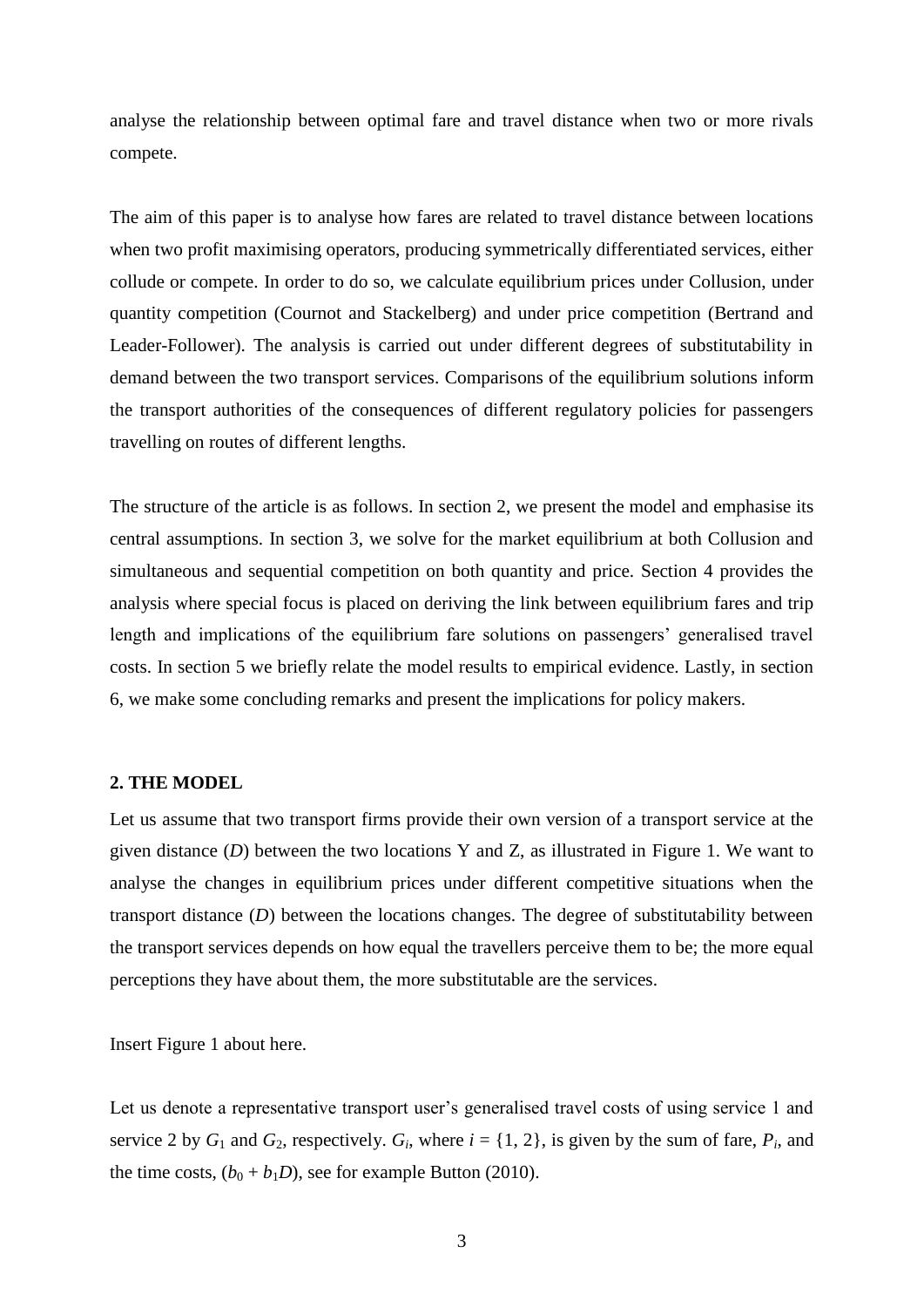analyse the relationship between optimal fare and travel distance when two or more rivals compete.

The aim of this paper is to analyse how fares are related to travel distance between locations when two profit maximising operators, producing symmetrically differentiated services, either collude or compete. In order to do so, we calculate equilibrium prices under Collusion, under quantity competition (Cournot and Stackelberg) and under price competition (Bertrand and Leader-Follower). The analysis is carried out under different degrees of substitutability in demand between the two transport services. Comparisons of the equilibrium solutions inform the transport authorities of the consequences of different regulatory policies for passengers travelling on routes of different lengths.

The structure of the article is as follows. In section 2, we present the model and emphasise its central assumptions. In section 3, we solve for the market equilibrium at both Collusion and simultaneous and sequential competition on both quantity and price. Section 4 provides the analysis where special focus is placed on deriving the link between equilibrium fares and trip length and implications of the equilibrium fare solutions on passengers' generalised travel costs. In section 5 we briefly relate the model results to empirical evidence. Lastly, in section 6, we make some concluding remarks and present the implications for policy makers.

#### **2. THE MODEL**

Let us assume that two transport firms provide their own version of a transport service at the given distance (*D*) between the two locations Y and Z, as illustrated in Figure 1. We want to analyse the changes in equilibrium prices under different competitive situations when the transport distance (*D*) between the locations changes. The degree of substitutability between the transport services depends on how equal the travellers perceive them to be; the more equal perceptions they have about them, the more substitutable are the services.

Insert Figure 1 about here.

Let us denote a representative transport user's generalised travel costs of using service 1 and service 2 by  $G_1$  and  $G_2$ , respectively.  $G_i$ , where  $i = \{1, 2\}$ , is given by the sum of fare,  $P_i$ , and the time costs,  $(b_0 + b_1 D)$ , see for example Button (2010).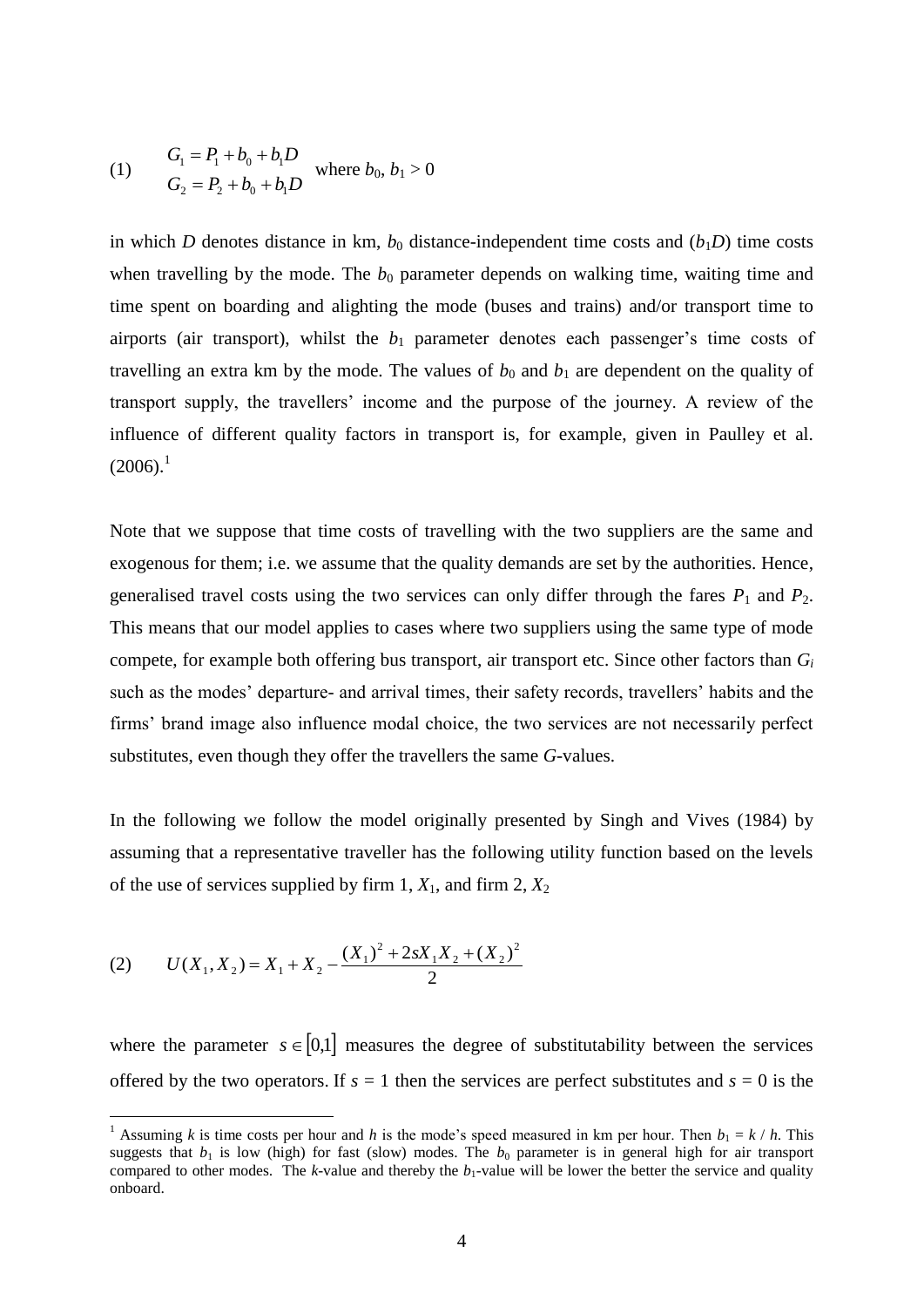(1) 
$$
G_1 = P_1 + b_0 + b_1 D
$$
 where  $b_0, b_1 > 0$   

$$
G_2 = P_2 + b_0 + b_1 D
$$

in which *D* denotes distance in km,  $b_0$  distance-independent time costs and  $(b_1D)$  time costs when travelling by the mode. The  $b_0$  parameter depends on walking time, waiting time and time spent on boarding and alighting the mode (buses and trains) and/or transport time to airports (air transport), whilst the  $b_1$  parameter denotes each passenger's time costs of travelling an extra km by the mode. The values of  $b_0$  and  $b_1$  are dependent on the quality of transport supply, the travellers' income and the purpose of the journey. A review of the influence of different quality factors in transport is, for example, given in Paulley et al.  $(2006).$ <sup>1</sup>

Note that we suppose that time costs of travelling with the two suppliers are the same and exogenous for them; i.e. we assume that the quality demands are set by the authorities. Hence, generalised travel costs using the two services can only differ through the fares  $P_1$  and  $P_2$ . This means that our model applies to cases where two suppliers using the same type of mode compete, for example both offering bus transport, air transport etc. Since other factors than *G<sup>i</sup>* such as the modes' departure- and arrival times, their safety records, travellers' habits and the firms' brand image also influence modal choice, the two services are not necessarily perfect substitutes, even though they offer the travellers the same *G*-values.

In the following we follow the model originally presented by Singh and Vives (1984) by assuming that a representative traveller has the following utility function based on the levels of the use of services supplied by firm  $1, X_1$ , and firm  $2, X_2$ 

(2) 
$$
U(X_1, X_2) = X_1 + X_2 - \frac{(X_1)^2 + 2sX_1X_2 + (X_2)^2}{2}
$$

1

where the parameter  $s \in [0,1]$  measures the degree of substitutability between the services offered by the two operators. If  $s = 1$  then the services are perfect substitutes and  $s = 0$  is the

<sup>&</sup>lt;sup>1</sup> Assuming *k* is time costs per hour and *h* is the mode's speed measured in km per hour. Then  $b_1 = k / h$ . This suggests that  $b_1$  is low (high) for fast (slow) modes. The  $b_0$  parameter is in general high for air transport compared to other modes. The *k*-value and thereby the  $b_1$ -value will be lower the better the service and quality onboard.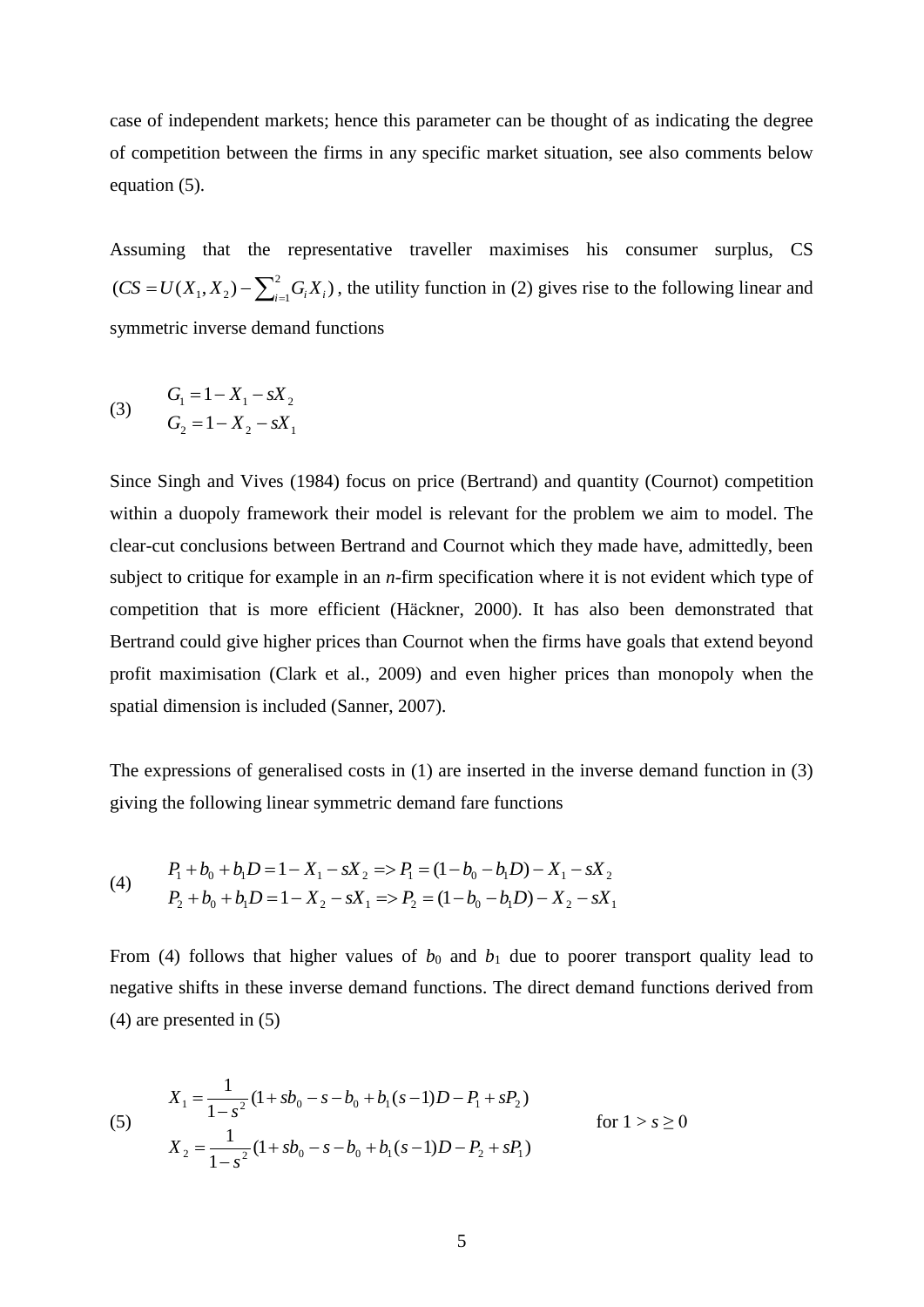case of independent markets; hence this parameter can be thought of as indicating the degree of competition between the firms in any specific market situation, see also comments below equation (5).

Assuming that the representative traveller maximises his consumer surplus, CS  $(CS = U(X_1, X_2) - \sum_{i=1}^{2} G_i X_i)$  $CS = U(X_1, X_2) - \sum_{i=1}^{2} G_i X_i$ , the utility function in (2) gives rise to the following linear and symmetric inverse demand functions

(3) 
$$
G_1 = 1 - X_1 - sX_2
$$

$$
G_2 = 1 - X_2 - sX_1
$$

Since Singh and Vives (1984) focus on price (Bertrand) and quantity (Cournot) competition within a duopoly framework their model is relevant for the problem we aim to model. The clear-cut conclusions between Bertrand and Cournot which they made have, admittedly, been subject to critique for example in an *n*-firm specification where it is not evident which type of competition that is more efficient (Häckner, 2000). It has also been demonstrated that Bertrand could give higher prices than Cournot when the firms have goals that extend beyond profit maximisation (Clark et al., 2009) and even higher prices than monopoly when the spatial dimension is included (Sanner, 2007).

The expressions of generalised costs in (1) are inserted in the inverse demand function in (3) giving the following linear symmetric demand fare functions

(4) 
$$
P_1 + b_0 + b_1 D = 1 - X_1 - sX_2 \Rightarrow P_1 = (1 - b_0 - b_1 D) - X_1 - sX_2
$$

$$
P_2 + b_0 + b_1 D = 1 - X_2 - sX_1 \Rightarrow P_2 = (1 - b_0 - b_1 D) - X_2 - sX_1
$$

From (4) follows that higher values of  $b_0$  and  $b_1$  due to poorer transport quality lead to negative shifts in these inverse demand functions. The direct demand functions derived from (4) are presented in (5)

(5) 
$$
X_1 = \frac{1}{1 - s^2} (1 + sb_0 - s - b_0 + b_1(s - 1)D - P_1 + sP_2)
$$

$$
X_2 = \frac{1}{1 - s^2} (1 + sb_0 - s - b_0 + b_1(s - 1)D - P_2 + sP_1)
$$
for  $1 > s \ge 0$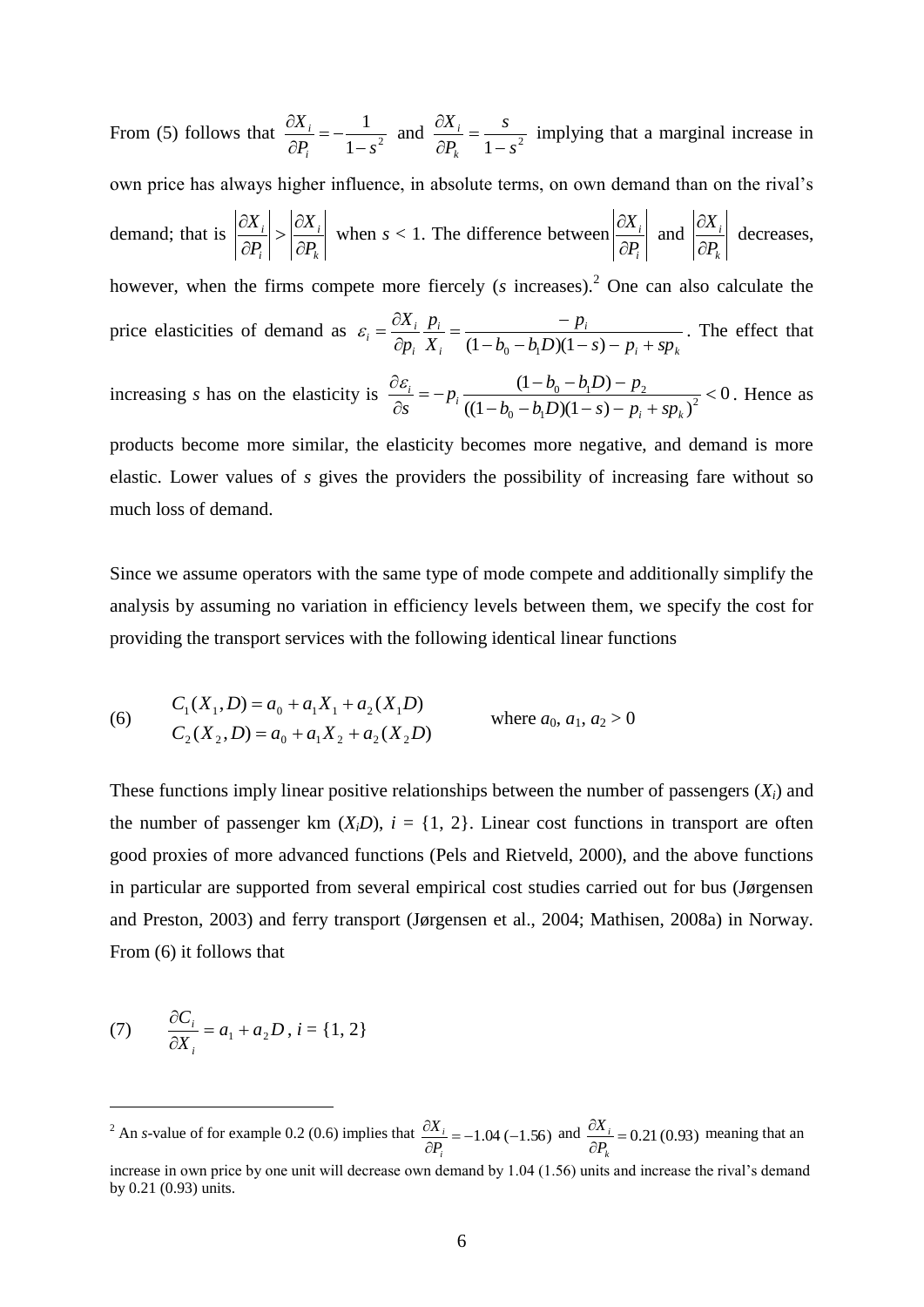From (5) follows that  $\frac{\partial A_i}{\partial P_i} = -\frac{1}{1-s^2}$ 1  $P_i$   $1-s$ *X i i*  $\overline{a}$  $= \partial$  $\frac{\partial X_i}{\partial P_i} = -\frac{1}{1-s^2}$  and  $\frac{\partial X_i}{\partial P_k} = \frac{s}{1-s^2}$ *s P X k i*  $\overline{a}$  $=$  $\partial$  $\frac{\partial X_i}{\partial s} = \frac{s}{s}$  implying that a marginal increase in own price has always higher influence, in absolute terms, on own demand than on the rival's demand; that is *k i i i P X P X*  $\partial$  $>\frac{\partial}{\partial t}$  $\partial$  $\left|\frac{\partial X_i}{\partial s}\right| > \left|\frac{\partial X_i}{\partial s}\right|$  when  $s < 1$ . The difference between *i i P X*  $\partial$  $\frac{\partial X_i}{\partial z}$  and *k i P X*  $\partial$  $\frac{\partial X_i}{\partial x}$  decreases, however, when the firms compete more fiercely (*s* increases).<sup>2</sup> One can also calculate the price elasticities of demand as  $\gamma_i$  +  $\mathcal{P}_k$ *i i i i*  $\sum_{i}$   $\frac{b_{i}}{2p_{i}} \frac{p_{i}}{X_{i}} = \frac{p_{i}}{(1-b_{0}-b_{1}D)(1-s)-p_{i}+sp_{i}}$ *p X p p X*  $-b_0-b_1D(1-s)-p_1+$  $=\frac{1}{\sqrt{2\pi}}$  $\partial$  $=\frac{\partial}{\partial x}$  $(1-b_0-b_1D)(1-s)$  $\varepsilon_i = \frac{V_i}{R_i} = \frac{V_i}{(1 - V_i)^2}$ . The effect that increasing *s* has on the elasticity is  $\frac{\partial c_i}{\partial s} = -p_i \frac{(1 - b_0)^2 - (1 - b_1)^2}{(1 - b_0)^2 - (1 - b_1)^2} < 0$  $((1 - b_0 - b_1 D)(1 - s) - p_i + sp_k)$  $(1 - b_0 - b_1 D)$ 2  $v_0$   $v_1$  $\frac{p_0 - p_1 D - p_2}{\sqrt{2}}$  $-b_0-b_1D(1-s)-p_1+$  $=-p_i \frac{(1-b_0-b_1D)}{(1-b_0-b_1D)^2}$  $\partial$  $\partial$  $i$  <sup>*b*</sup> $\mu$ <sub>k</sub>  $\frac{i}{i} = -p_i$  $b_0 - b_1 D(1 - s) - p_i + sp$  $p_i \frac{(1-b_0-b_1D)-p}{(1-p_0-p_1D)}$ *s*  $\frac{\varepsilon_i}{\varepsilon_i} = -p_i \frac{(1 - b_0 - b_1 D) - p_2}{(1 - b_0 - b_1 D) - p_2} < 0$ . Hence as

products become more similar, the elasticity becomes more negative, and demand is more elastic. Lower values of *s* gives the providers the possibility of increasing fare without so much loss of demand.

Since we assume operators with the same type of mode compete and additionally simplify the analysis by assuming no variation in efficiency levels between them, we specify the cost for providing the transport services with the following identical linear functions

(6) 
$$
C_1(X_1, D) = a_0 + a_1 X_1 + a_2 (X_1 D)
$$
  
\n
$$
C_2(X_2, D) = a_0 + a_1 X_2 + a_2 (X_2 D)
$$
 where  $a_0, a_1, a_2 > 0$ 

These functions imply linear positive relationships between the number of passengers  $(X_i)$  and the number of passenger km  $(X_i, D)$ ,  $i = \{1, 2\}$ . Linear cost functions in transport are often good proxies of more advanced functions (Pels and Rietveld, 2000), and the above functions in particular are supported from several empirical cost studies carried out for bus (Jørgensen and Preston, 2003) and ferry transport (Jørgensen et al., 2004; Mathisen, 2008a) in Norway. From (6) it follows that

(7) 
$$
\frac{\partial C_i}{\partial X_i} = a_1 + a_2 D, i = \{1, 2\}
$$

1

<sup>&</sup>lt;sup>2</sup> An *s*-value of for example 0.2 (0.6) implies that  $\frac{\partial X_i}{\partial P_i} = -1.04 (-1.56)$  $\partial$ *i i P*  $\frac{dX_i}{dP_i}$  = -1.04 (-1.56) and  $\frac{\partial X_i}{\partial P_k}$  = 0.21 (0.93)  $\partial$ *k i P*  $\frac{dX_i}{dt} = 0.21(0.93)$  meaning that an

increase in own price by one unit will decrease own demand by 1.04 (1.56) units and increase the rival's demand by 0.21 (0.93) units.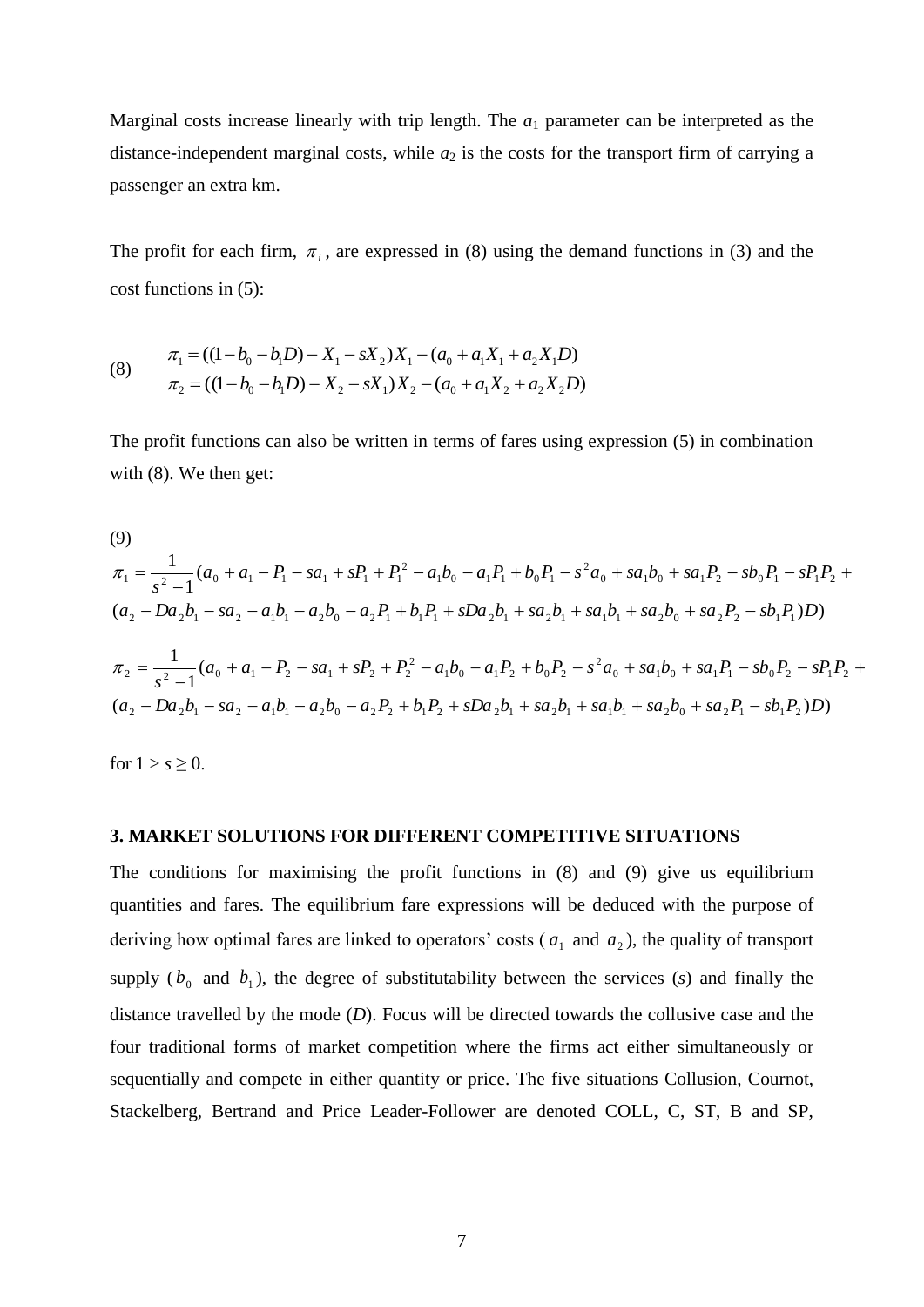Marginal costs increase linearly with trip length. The  $a_1$  parameter can be interpreted as the distance-independent marginal costs, while  $a_2$  is the costs for the transport firm of carrying a passenger an extra km.

The profit for each firm,  $\pi$ <sub>i</sub>, are expressed in (8) using the demand functions in (3) and the cost functions in (5):

(8) 
$$
\pi_1 = ((1 - b_0 - b_1 D) - X_1 - sX_2)X_1 - (a_0 + a_1 X_1 + a_2 X_1 D)
$$

$$
\pi_2 = ((1 - b_0 - b_1 D) - X_2 - sX_1)X_2 - (a_0 + a_1 X_2 + a_2 X_2 D)
$$

The profit functions can also be written in terms of fares using expression (5) in combination with (8). We then get:

(9)  
\n
$$
\pi_1 = \frac{1}{s^2 - 1} (a_0 + a_1 - P_1 - sa_1 + sP_1 + P_1^2 - a_1b_0 - a_1P_1 + b_0P_1 - s^2a_0 + sa_1b_0 + sa_1P_2 - sb_0P_1 - sP_1P_2 +
$$
\n
$$
(a_2 - Da_2b_1 - sa_2 - a_1b_1 - a_2b_0 - a_2P_1 + b_1P_1 + sDa_2b_1 + sa_2b_1 + sa_1b_1 + sa_2b_0 + sa_2P_2 - sb_1P_1)D)
$$
\n
$$
\pi_2 = \frac{1}{s^2 - 1} (a_0 + a_1 - P_2 - sa_1 + sP_2 + P_2^2 - a_1b_0 - a_1P_2 + b_0P_2 - s^2a_0 + sa_1b_0 + sa_1P_1 - sb_0P_2 - sP_1P_2 +
$$
\n
$$
(a_2 - Da_2b_1 - sa_2 - a_1b_1 - a_2b_0 - a_2P_2 + b_1P_2 + sDa_2b_1 + sa_2b_1 + sa_2b_0 + sa_2P_1 - sb_1P_2)D)
$$

for  $1 > s \ge 0$ .

#### **3. MARKET SOLUTIONS FOR DIFFERENT COMPETITIVE SITUATIONS**

The conditions for maximising the profit functions in (8) and (9) give us equilibrium quantities and fares. The equilibrium fare expressions will be deduced with the purpose of deriving how optimal fares are linked to operators' costs ( $a_1$  and  $a_2$ ), the quality of transport supply  $(b_0$  and  $b_1$ ), the degree of substitutability between the services (*s*) and finally the distance travelled by the mode (*D*). Focus will be directed towards the collusive case and the four traditional forms of market competition where the firms act either simultaneously or sequentially and compete in either quantity or price. The five situations Collusion, Cournot, Stackelberg, Bertrand and Price Leader-Follower are denoted COLL, C, ST, B and SP,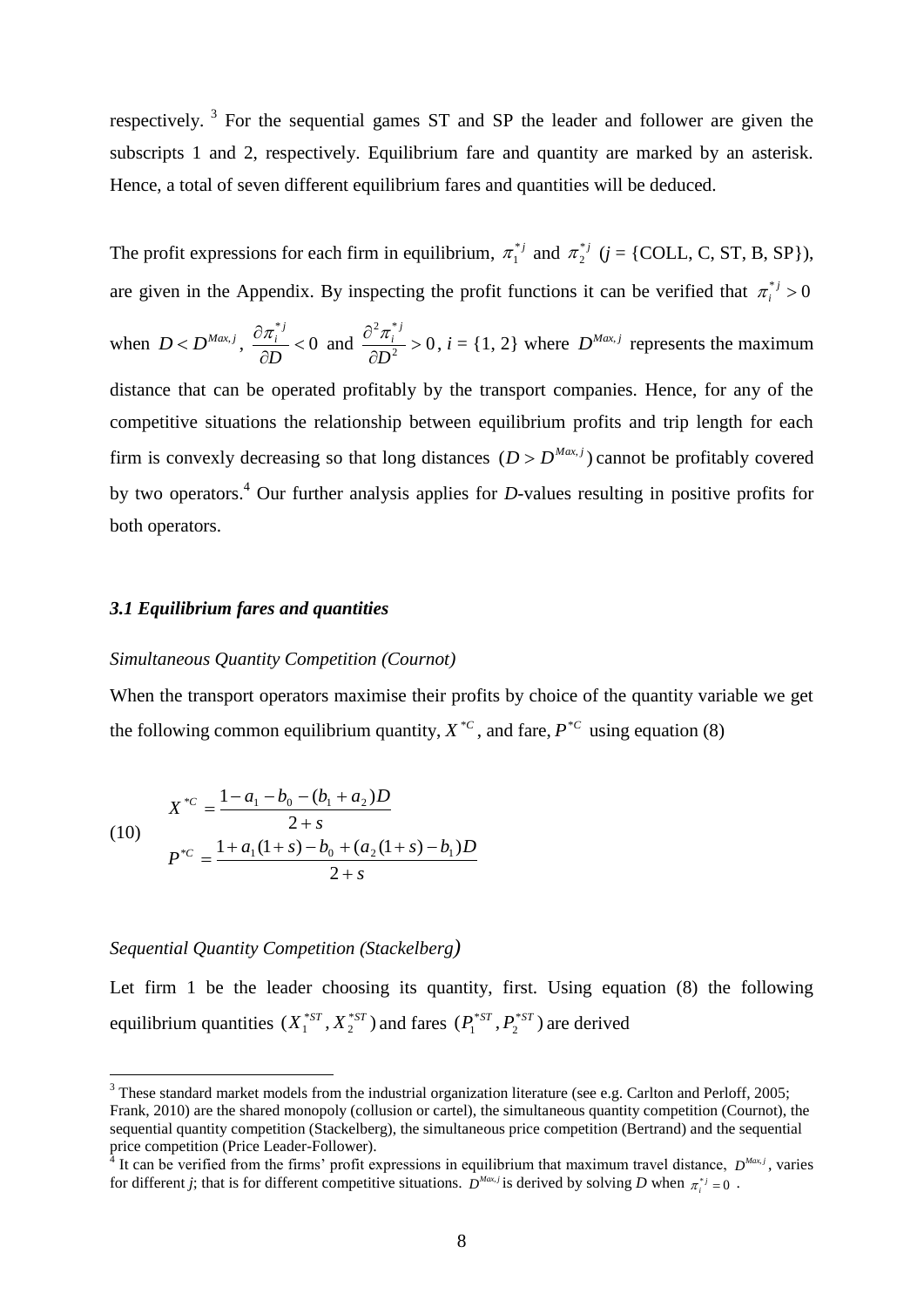respectively.<sup>3</sup> For the sequential games  $ST$  and  $SP$  the leader and follower are given the subscripts 1 and 2, respectively. Equilibrium fare and quantity are marked by an asterisk. Hence, a total of seven different equilibrium fares and quantities will be deduced.

The profit expressions for each firm in equilibrium,  $\pi_1^{*j}$  and  $\pi_2^{*j}$  ( $j = \{COLL, C, ST, B, SP\}$ ), are given in the Appendix. By inspecting the profit functions it can be verified that  $\pi_i^{*j} > 0$ 

when 
$$
D < D^{Max,j}
$$
,  $\frac{\partial \pi_i^{*j}}{\partial D} < 0$  and  $\frac{\partial^2 \pi_i^{*j}}{\partial D^2} > 0$ ,  $i = \{1, 2\}$  where  $D^{Max,j}$  represents the maximum

distance that can be operated profitably by the transport companies. Hence, for any of the competitive situations the relationship between equilibrium profits and trip length for each firm is convexly decreasing so that long distances  $(D > D^{Max,j})$  cannot be profitably covered by two operators. <sup>4</sup> Our further analysis applies for *D*-values resulting in positive profits for both operators.

#### *3.1 Equilibrium fares and quantities*

#### *Simultaneous Quantity Competition (Cournot)*

When the transport operators maximise their profits by choice of the quantity variable we get the following common equilibrium quantity,  $X^{*c}$ , and fare,  $P^{*c}$  using equation (8)

(10) 
$$
X^{*c} = \frac{1 - a_1 - b_0 - (b_1 + a_2)D}{2 + s}
$$

$$
P^{*c} = \frac{1 + a_1(1 + s) - b_0 + (a_2(1 + s) - b_1)D}{2 + s}
$$

## *Sequential Quantity Competition (Stackelberg)*

1

Let firm 1 be the leader choosing its quantity, first. Using equation (8) the following equilibrium quantities  $(X_1^{*ST}, X_2^{*ST})$ 2 \*  $X_1^{*ST}, X_2^{*ST}$  ) and fares  $(P_1^{*ST}, P_2^{*ST})$ 2 \*  $P_1^{*ST}$ ,  $P_2^{*ST}$ ) are derived

 $3$  These standard market models from the industrial organization literature (see e.g. Carlton and Perloff, 2005; Frank, 2010) are the shared monopoly (collusion or cartel), the simultaneous quantity competition (Cournot), the sequential quantity competition (Stackelberg), the simultaneous price competition (Bertrand) and the sequential price competition (Price Leader-Follower).

<sup>&</sup>lt;sup>4</sup> It can be verified from the firms' profit expressions in equilibrium that maximum travel distance,  $D^{Max, j}$ , varies for different *j*; that is for different competitive situations.  $D^{Max,j}$  is derived by solving D when  $\pi_i^{*j} = 0$ .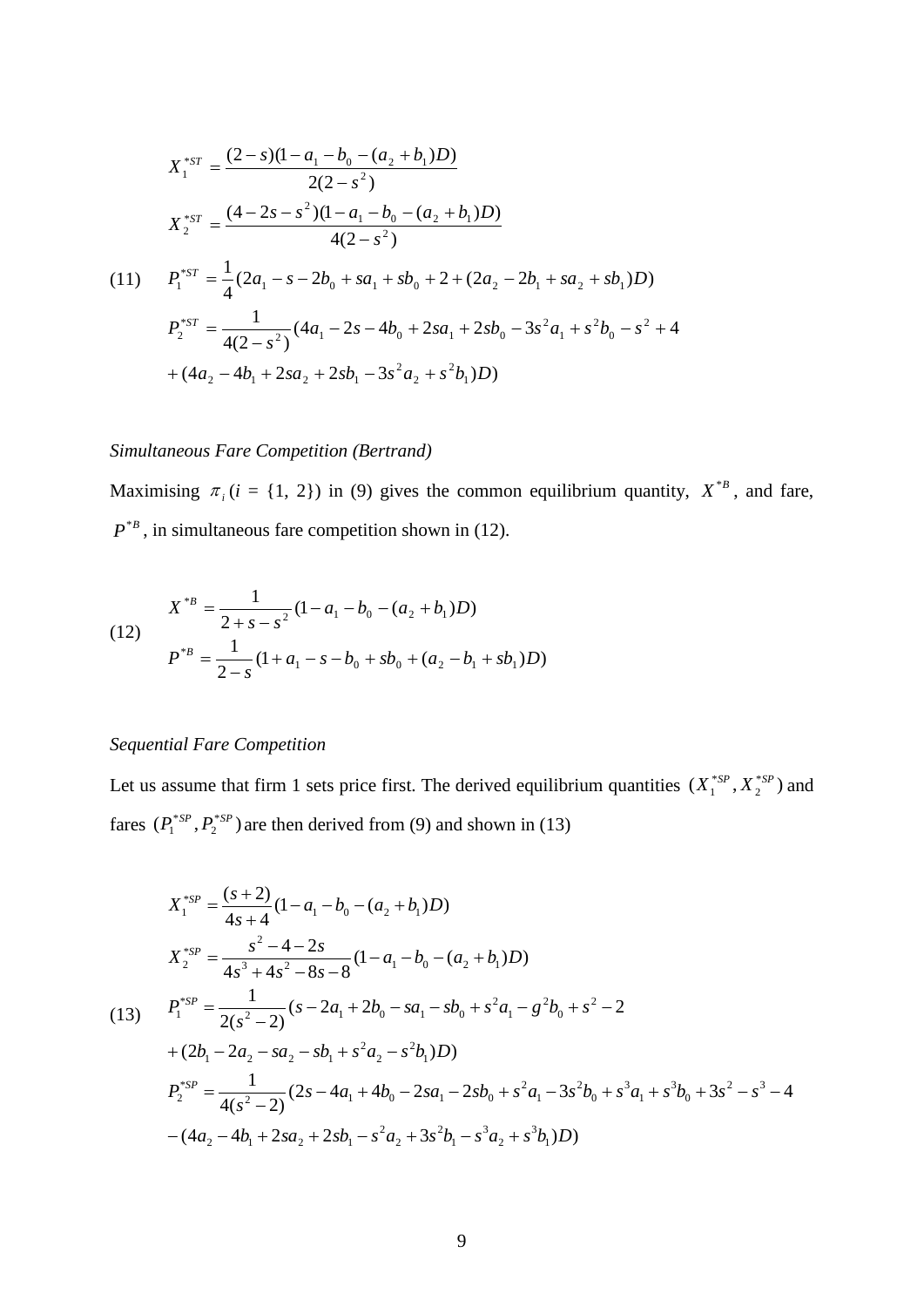$$
X_1^{*ST} = \frac{(2-s)(1-a_1-b_0-(a_2+b_1)D)}{2(2-s^2)}
$$
  
\n
$$
X_2^{*ST} = \frac{(4-2s-s^2)(1-a_1-b_0-(a_2+b_1)D)}{4(2-s^2)}
$$
  
\n(11) 
$$
P_1^{*ST} = \frac{1}{4}(2a_1-s-2b_0+sa_1+sb_0+2+(2a_2-2b_1+sa_2+sb_1)D)
$$
  
\n
$$
P_2^{*ST} = \frac{1}{4(2-s^2)}(4a_1-2s-4b_0+2sa_1+2sb_0-3s^2a_1+s^2b_0-s^2+4
$$
  
\n
$$
+(4a_2-4b_1+2sa_2+2sb_1-3s^2a_2+s^2b_1)D)
$$

## *Simultaneous Fare Competition (Bertrand)*

Maximising  $\pi_i$  (*i* = {1, 2}) in (9) gives the common equilibrium quantity,  $X^{*B}$ , and fare,  $P^{*B}$ , in simultaneous fare competition shown in (12).

(12) 
$$
X^{*B} = \frac{1}{2+s-s^2} (1-a_1-b_0-(a_2+b_1)D)
$$

$$
P^{*B} = \frac{1}{2-s} (1+a_1-s-b_0+sb_0+(a_2-b_1+sb_1)D)
$$

## *Sequential Fare Competition*

Let us assume that firm 1 sets price first. The derived equilibrium quantities  $(X_1^{*sp}, X_2^{*sp})$ 2 \*  $X_1^{*sp}, X_2^{*sp}$  ) and fares  $(P_1^{*SP}, P_2^{*SP})$ 2 \*  $P_1^{*sp}, P_2^{*sp}$ ) are then derived from (9) and shown in (13)

$$
X_1^{*SP} = \frac{(s+2)}{4s+4} (1 - a_1 - b_0 - (a_2 + b_1)D)
$$
  
\n
$$
X_2^{*SP} = \frac{s^2 - 4 - 2s}{4s^3 + 4s^2 - 8s - 8} (1 - a_1 - b_0 - (a_2 + b_1)D)
$$
  
\n(13) 
$$
P_1^{*SP} = \frac{1}{2(s^2 - 2)} (s - 2a_1 + 2b_0 - sa_1 - sb_0 + s^2a_1 - g^2b_0 + s^2 - 2
$$
  
\n
$$
+ (2b_1 - 2a_2 - sa_2 - sb_1 + s^2a_2 - s^2b_1)D)
$$
  
\n
$$
P_2^{*SP} = \frac{1}{4(s^2 - 2)} (2s - 4a_1 + 4b_0 - 2sa_1 - 2sb_0 + s^2a_1 - 3s^2b_0 + s^3a_1 + s^3b_0 + 3s^2 - s^3 - 4
$$
  
\n
$$
- (4a_2 - 4b_1 + 2sa_2 + 2sb_1 - s^2a_2 + 3s^2b_1 - s^3a_2 + s^3b_1)D)
$$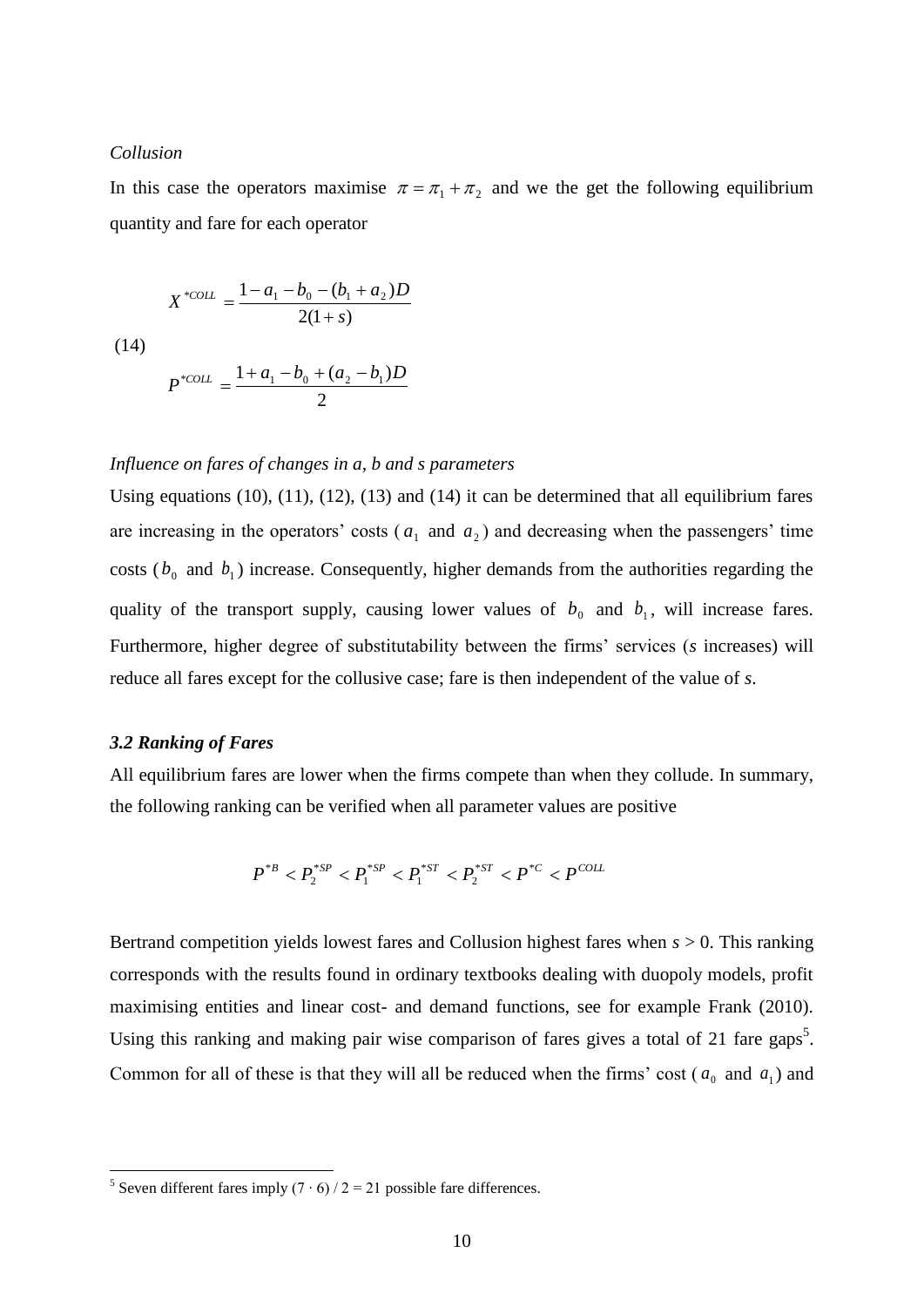#### *Collusion*

In this case the operators maximise  $\pi = \pi_1 + \pi_2$  and we the get the following equilibrium quantity and fare for each operator

$$
X^{*COL} = \frac{1 - a_1 - b_0 - (b_1 + a_2)D}{2(1 + s)}
$$

(14)

$$
P^{*COL} = \frac{1 + a_1 - b_0 + (a_2 - b_1)D}{2}
$$

### *Influence on fares of changes in a, b and s parameters*

Using equations (10), (11), (12), (13) and (14) it can be determined that all equilibrium fares are increasing in the operators' costs ( $a_1$  and  $a_2$ ) and decreasing when the passengers' time costs ( $b_0$  and  $b_1$ ) increase. Consequently, higher demands from the authorities regarding the quality of the transport supply, causing lower values of  $b_0$  and  $b_1$ , will increase fares. Furthermore, higher degree of substitutability between the firms' services (*s* increases) will reduce all fares except for the collusive case; fare is then independent of the value of *s*.

## *3.2 Ranking of Fares*

All equilibrium fares are lower when the firms compete than when they collude. In summary, the following ranking can be verified when all parameter values are positive

$$
P^{*B} < P_2^{*SP} < P_1^{*SP} < P_1^{*ST} < P_2^{*ST} < P^{*C} < P^{COL}
$$

Bertrand competition yields lowest fares and Collusion highest fares when *s* > 0. This ranking corresponds with the results found in ordinary textbooks dealing with duopoly models, profit maximising entities and linear cost- and demand functions, see for example Frank (2010). Using this ranking and making pair wise comparison of fares gives a total of 21 fare gaps<sup>5</sup>. Common for all of these is that they will all be reduced when the firms' cost ( $a_0$  and  $a_1$ ) and

 $\frac{5}{5}$  Seven different fares imply (7 ⋅ 6) / 2 = 21 possible fare differences.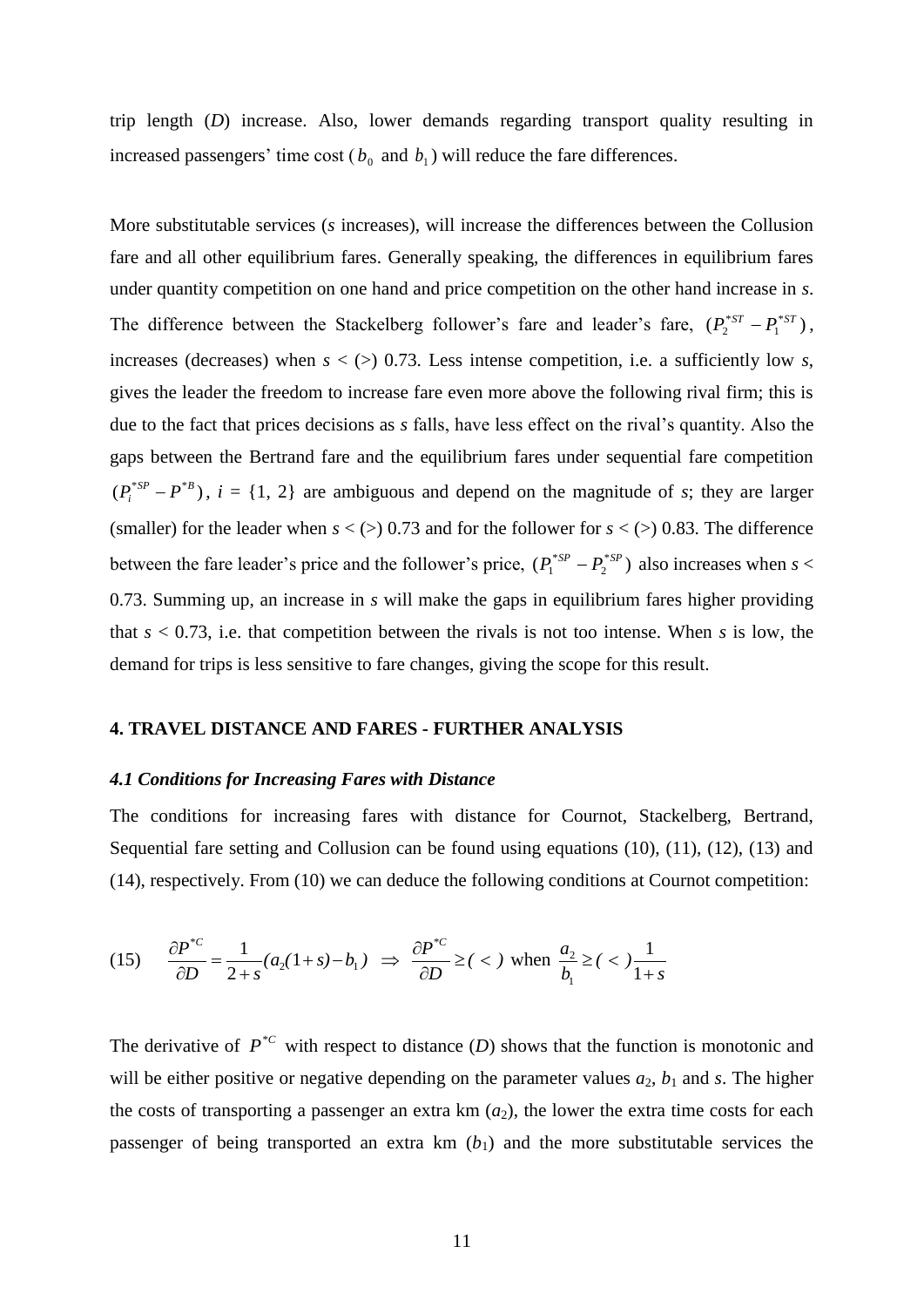trip length (*D*) increase. Also, lower demands regarding transport quality resulting in increased passengers' time cost ( $b_0$  and  $b_1$ ) will reduce the fare differences.

More substitutable services (*s* increases), will increase the differences between the Collusion fare and all other equilibrium fares. Generally speaking, the differences in equilibrium fares under quantity competition on one hand and price competition on the other hand increase in *s*. The difference between the Stackelberg follower's fare and leader's fare,  $(P_2^{*ST} - P_1^{*ST})$ 1 \*  $P_2^{*ST} - P_1^{*ST}$ ), increases (decreases) when  $s <$  ( $>$ ) 0.73. Less intense competition, i.e. a sufficiently low *s*, gives the leader the freedom to increase fare even more above the following rival firm; this is due to the fact that prices decisions as *s* falls, have less effect on the rival's quantity. Also the gaps between the Bertrand fare and the equilibrium fares under sequential fare competition  $(P_i^{*sp} - P^{*B})$ ,  $i = \{1, 2\}$  are ambiguous and depend on the magnitude of *s*; they are larger (smaller) for the leader when  $s \lt (>)$  0.73 and for the follower for  $s \lt (>)$  0.83. The difference between the fare leader's price and the follower's price,  $(P_1^{*sp} - P_2^{*sp})$ 2 \*  $P_1^{*sp} - P_2^{*sp}$ ) also increases when  $s <$ 0.73. Summing up, an increase in *s* will make the gaps in equilibrium fares higher providing that  $s < 0.73$ , i.e. that competition between the rivals is not too intense. When  $s$  is low, the demand for trips is less sensitive to fare changes, giving the scope for this result.

## **4. TRAVEL DISTANCE AND FARES - FURTHER ANALYSIS**

#### *4.1 Conditions for Increasing Fares with Distance*

The conditions for increasing fares with distance for Cournot, Stackelberg, Bertrand, Sequential fare setting and Collusion can be found using equations (10), (11), (12), (13) and (14), respectively. From (10) we can deduce the following conditions at Cournot competition:

$$
(15) \quad \frac{\partial P^{*c}}{\partial D} = \frac{1}{2+s}(a_2(1+s)-b_1) \implies \frac{\partial P^{*c}}{\partial D} \ge (0) \text{ when } \frac{a_2}{b_1} \ge (0) < \frac{1}{1+s}
$$

The derivative of  $P^{*c}$  with respect to distance (*D*) shows that the function is monotonic and will be either positive or negative depending on the parameter values  $a_2$ ,  $b_1$  and  $s$ . The higher the costs of transporting a passenger an extra  $km (a<sub>2</sub>)$ , the lower the extra time costs for each passenger of being transported an extra  $km$  ( $b<sub>1</sub>$ ) and the more substitutable services the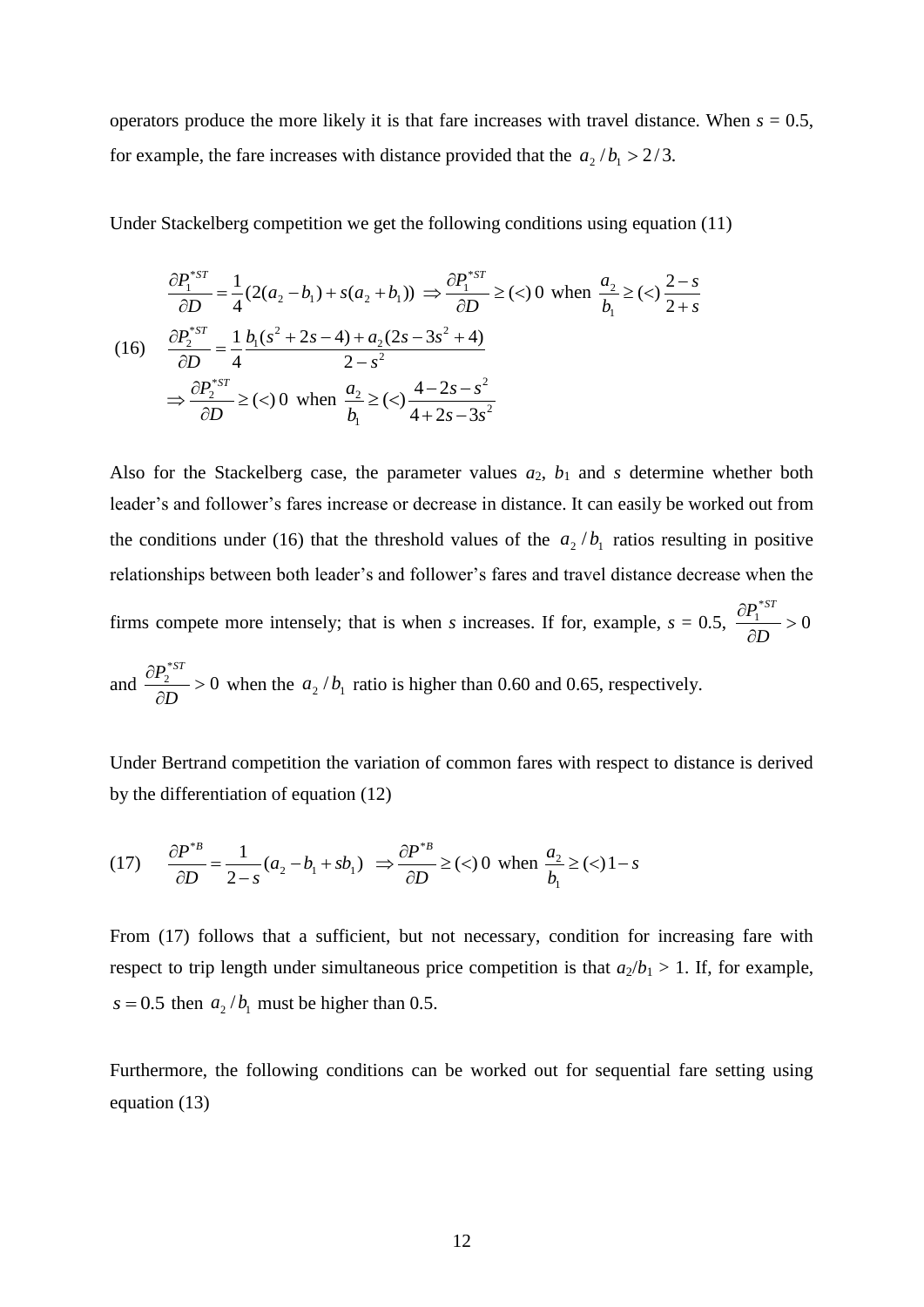operators produce the more likely it is that fare increases with travel distance. When  $s = 0.5$ , for example, the fare increases with distance provided that the  $a_2/b_1 > 2/3$ .

Under Stackelberg competition we get the following conditions using equation (11)

$$
\frac{\partial P_1^{*ST}}{\partial D} = \frac{1}{4} (2(a_2 - b_1) + s(a_2 + b_1)) \implies \frac{\partial P_1^{*ST}}{\partial D} \ge (\lt) 0 \text{ when } \frac{a_2}{b_1} \ge (\lt) \frac{2 - s}{2 + s}
$$
  
(16) 
$$
\frac{\partial P_2^{*ST}}{\partial D} = \frac{1}{4} \frac{b_1 (s^2 + 2s - 4) + a_2 (2s - 3s^2 + 4)}{2 - s^2}
$$

$$
\implies \frac{\partial P_2^{*ST}}{\partial D} \ge (\lt) 0 \text{ when } \frac{a_2}{b_1} \ge (\lt) \frac{4 - 2s - s^2}{4 + 2s - 3s^2}
$$

Also for the Stackelberg case, the parameter values  $a_2$ ,  $b_1$  and  $s$  determine whether both leader's and follower's fares increase or decrease in distance. It can easily be worked out from the conditions under (16) that the threshold values of the  $a_2/b_1$  ratios resulting in positive relationships between both leader's and follower's fares and travel distance decrease when the firms compete more intensely; that is when *s* increases. If for, example,  $s = 0.5$ ,  $\frac{G_1}{g} > 0$ \*  $\frac{1}{1}$  >  $\hat{o}$  $\hat{o}$ *D*  $P_1^{\ast_{ST}}$ 

and 
$$
\frac{\partial P_2^{*ST}}{\partial D} > 0
$$
 when the  $a_2 / b_1$  ratio is higher than 0.60 and 0.65, respectively.

Under Bertrand competition the variation of common fares with respect to distance is derived by the differentiation of equation (12)

$$
(17) \qquad \frac{\partial P^{*B}}{\partial D} = \frac{1}{2-s}(a_2 - b_1 + sb_1) \quad \Rightarrow \frac{\partial P^{*B}}{\partial D} \ge (\lt) 0 \text{ when } \frac{a_2}{b_1} \ge (\lt) 1 - s
$$

From (17) follows that a sufficient, but not necessary, condition for increasing fare with respect to trip length under simultaneous price competition is that  $a_2/b_1 > 1$ . If, for example,  $s = 0.5$  then  $a_2 / b_1$  must be higher than 0.5.

Furthermore, the following conditions can be worked out for sequential fare setting using equation (13)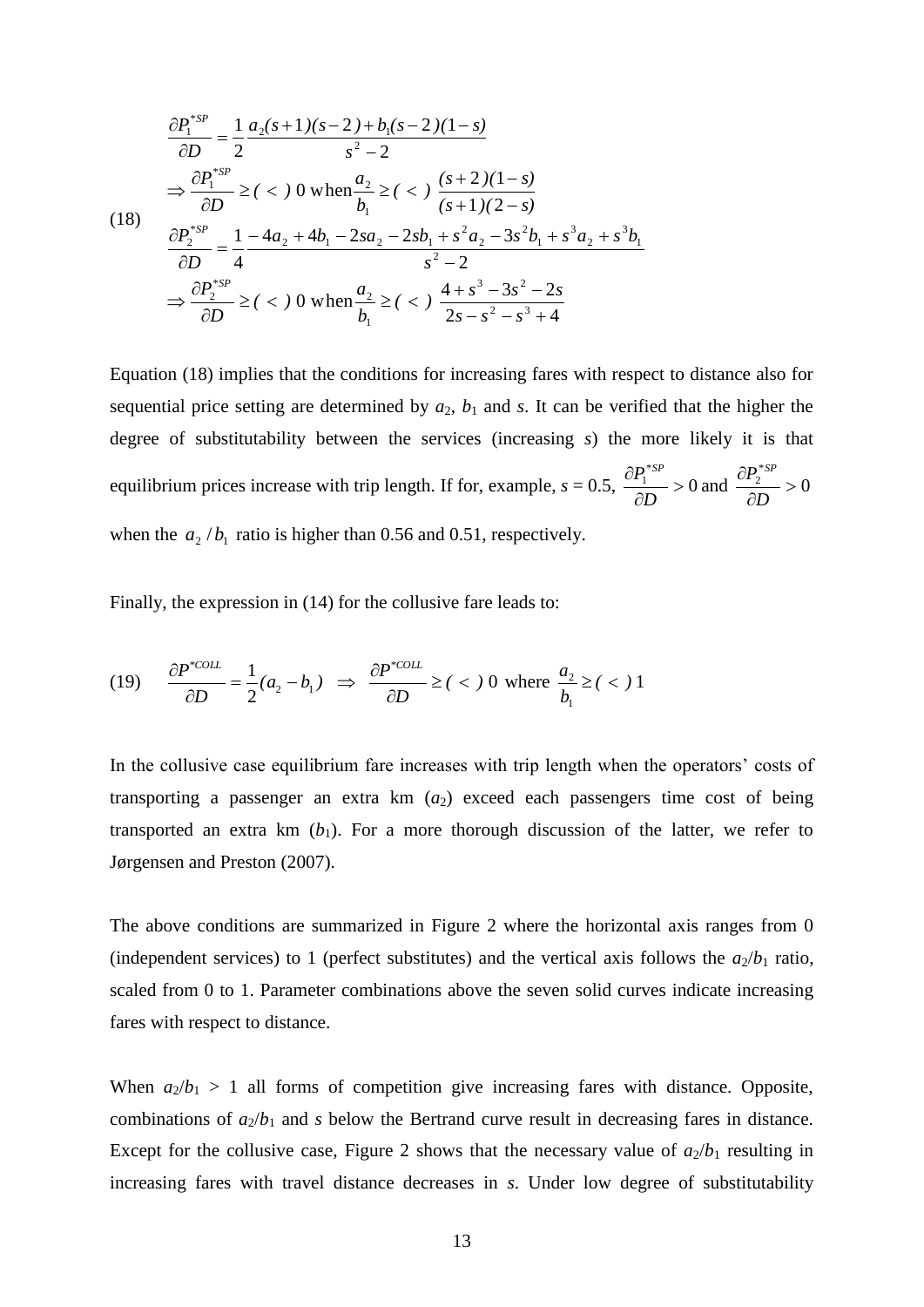$$
\frac{\partial P_1^{*SP}}{\partial D} = \frac{1}{2} \frac{a_2(s+1)(s-2) + b_1(s-2)(1-s)}{s^2 - 2}
$$
  
\n
$$
\Rightarrow \frac{\partial P_1^{*SP}}{\partial D} \ge (0, s) \text{ when } \frac{a_2}{b_1} \ge (0, s) \frac{(s+2)(1-s)}{(s+1)(2-s)}
$$
  
\n
$$
\frac{\partial P_2^{*SP}}{\partial D} = \frac{1}{4} \frac{-4a_2 + 4b_1 - 2sa_2 - 2sb_1 + s^2a_2 - 3s^2b_1 + s^3a_2 + s^3b_1}{s^2 - 2}
$$
  
\n
$$
\Rightarrow \frac{\partial P_2^{*SP}}{\partial D} \ge (0, s) \text{ when } \frac{a_2}{b_1} \ge (0, s) \frac{4 + s^3 - 3s^2 - 2s}{2s - s^2 - s^3 + 4}
$$

Equation (18) implies that the conditions for increasing fares with respect to distance also for sequential price setting are determined by  $a_2$ ,  $b_1$  and  $s$ . It can be verified that the higher the degree of substitutability between the services (increasing *s*) the more likely it is that equilibrium prices increase with trip length. If for, example,  $s = 0.5$ ,  $\frac{G_1}{g} > 0$ \*  $\frac{1}{1}$  >  $\partial$  $\hat{o}$ *D*  $P_1^{\ast_{SF}}$ and  $\frac{u_2}{2} > 0$ \*  $\frac{2}{1}$  >  $\hat{o}$  $\hat{o}$ *D*  $P_2^{\ast SP}$ when the  $a_2/b_1$  ratio is higher than 0.56 and 0.51, respectively.

Finally, the expression in (14) for the collusive fare leads to:

(19) 
$$
\frac{\partial P^{*COL}}{\partial D} = \frac{1}{2}(a_2 - b_1) \implies \frac{\partial P^{*COL}}{\partial D} \ge (0, 0) \text{ where } \frac{a_2}{b_1} \ge (0, 1)
$$

In the collusive case equilibrium fare increases with trip length when the operators' costs of transporting a passenger an extra  $km$   $(a_2)$  exceed each passengers time cost of being transported an extra km  $(b_1)$ . For a more thorough discussion of the latter, we refer to Jørgensen and Preston (2007).

The above conditions are summarized in Figure 2 where the horizontal axis ranges from 0 (independent services) to 1 (perfect substitutes) and the vertical axis follows the  $a_2/b_1$  ratio, scaled from 0 to 1. Parameter combinations above the seven solid curves indicate increasing fares with respect to distance.

When  $a_2/b_1 > 1$  all forms of competition give increasing fares with distance. Opposite, combinations of  $a_2/b_1$  and *s* below the Bertrand curve result in decreasing fares in distance. Except for the collusive case, Figure 2 shows that the necessary value of  $a_2/b_1$  resulting in increasing fares with travel distance decreases in *s*. Under low degree of substitutability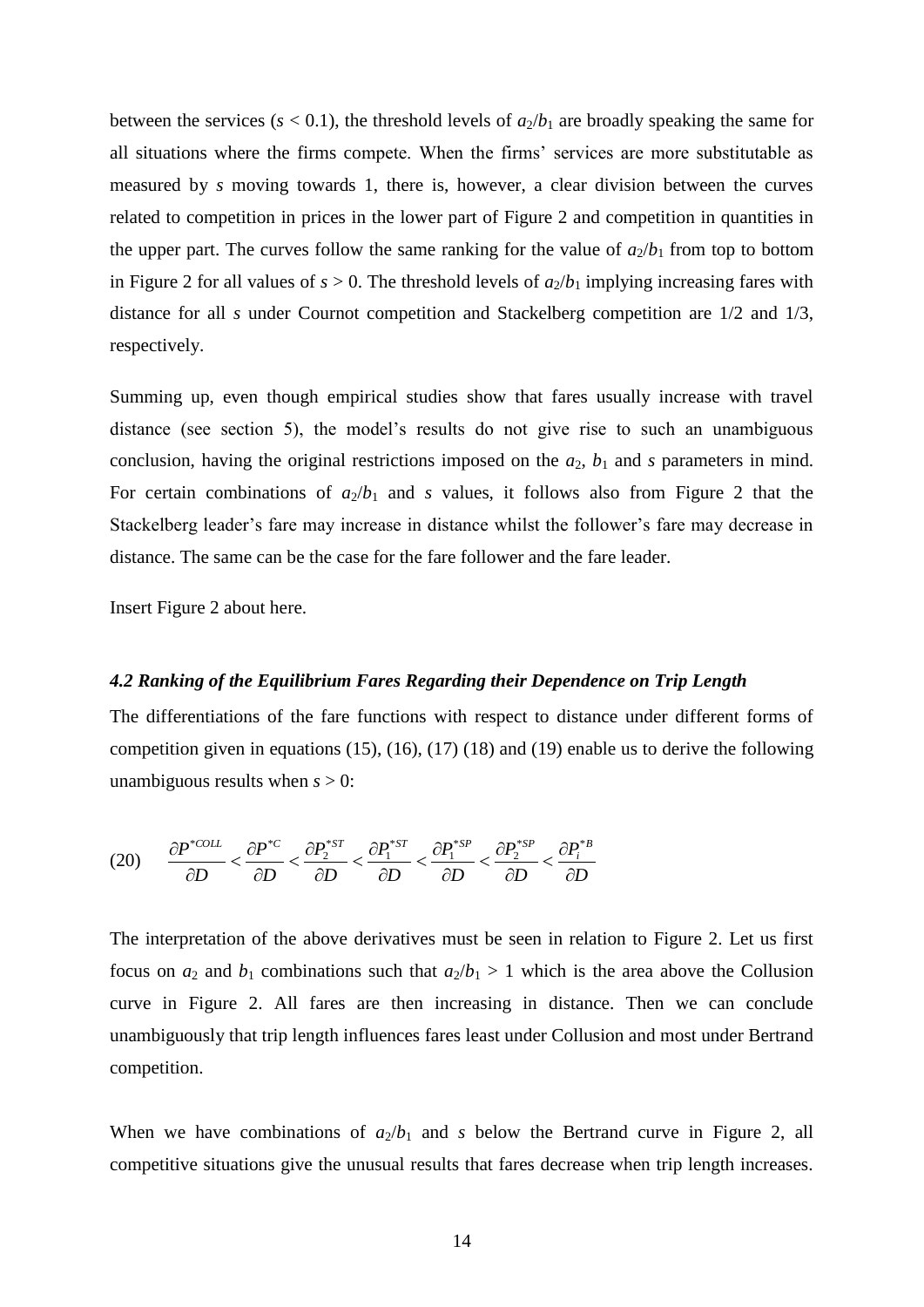between the services ( $s$  < 0.1), the threshold levels of  $a_2/b_1$  are broadly speaking the same for all situations where the firms compete. When the firms' services are more substitutable as measured by *s* moving towards 1, there is, however, a clear division between the curves related to competition in prices in the lower part of Figure 2 and competition in quantities in the upper part. The curves follow the same ranking for the value of  $a_2/b_1$  from top to bottom in Figure 2 for all values of  $s > 0$ . The threshold levels of  $a_2/b_1$  implying increasing fares with distance for all *s* under Cournot competition and Stackelberg competition are  $1/2$  and  $1/3$ , respectively.

Summing up, even though empirical studies show that fares usually increase with travel distance (see section 5), the model's results do not give rise to such an unambiguous conclusion, having the original restrictions imposed on the  $a_2$ ,  $b_1$  and  $s$  parameters in mind. For certain combinations of  $a_2/b_1$  and *s* values, it follows also from Figure 2 that the Stackelberg leader's fare may increase in distance whilst the follower's fare may decrease in distance. The same can be the case for the fare follower and the fare leader.

Insert Figure 2 about here.

#### *4.2 Ranking of the Equilibrium Fares Regarding their Dependence on Trip Length*

The differentiations of the fare functions with respect to distance under different forms of competition given in equations (15), (16), (17) (18) and (19) enable us to derive the following unambiguous results when  $s > 0$ :

$$
(20) \qquad \frac{\partial P^{*COL}}{\partial D} < \frac{\partial P^{*C}}{\partial D} < \frac{\partial P_2^{*ST}}{\partial D} < \frac{\partial P_1^{*ST}}{\partial D} < \frac{\partial P_1^{*SF}}{\partial D} < \frac{\partial P_2^{*SF}}{\partial D} < \frac{\partial P_i^{*BF}}{\partial D}
$$

The interpretation of the above derivatives must be seen in relation to Figure 2. Let us first focus on  $a_2$  and  $b_1$  combinations such that  $a_2/b_1 > 1$  which is the area above the Collusion curve in Figure 2. All fares are then increasing in distance. Then we can conclude unambiguously that trip length influences fares least under Collusion and most under Bertrand competition.

When we have combinations of  $a_2/b_1$  and *s* below the Bertrand curve in Figure 2, all competitive situations give the unusual results that fares decrease when trip length increases.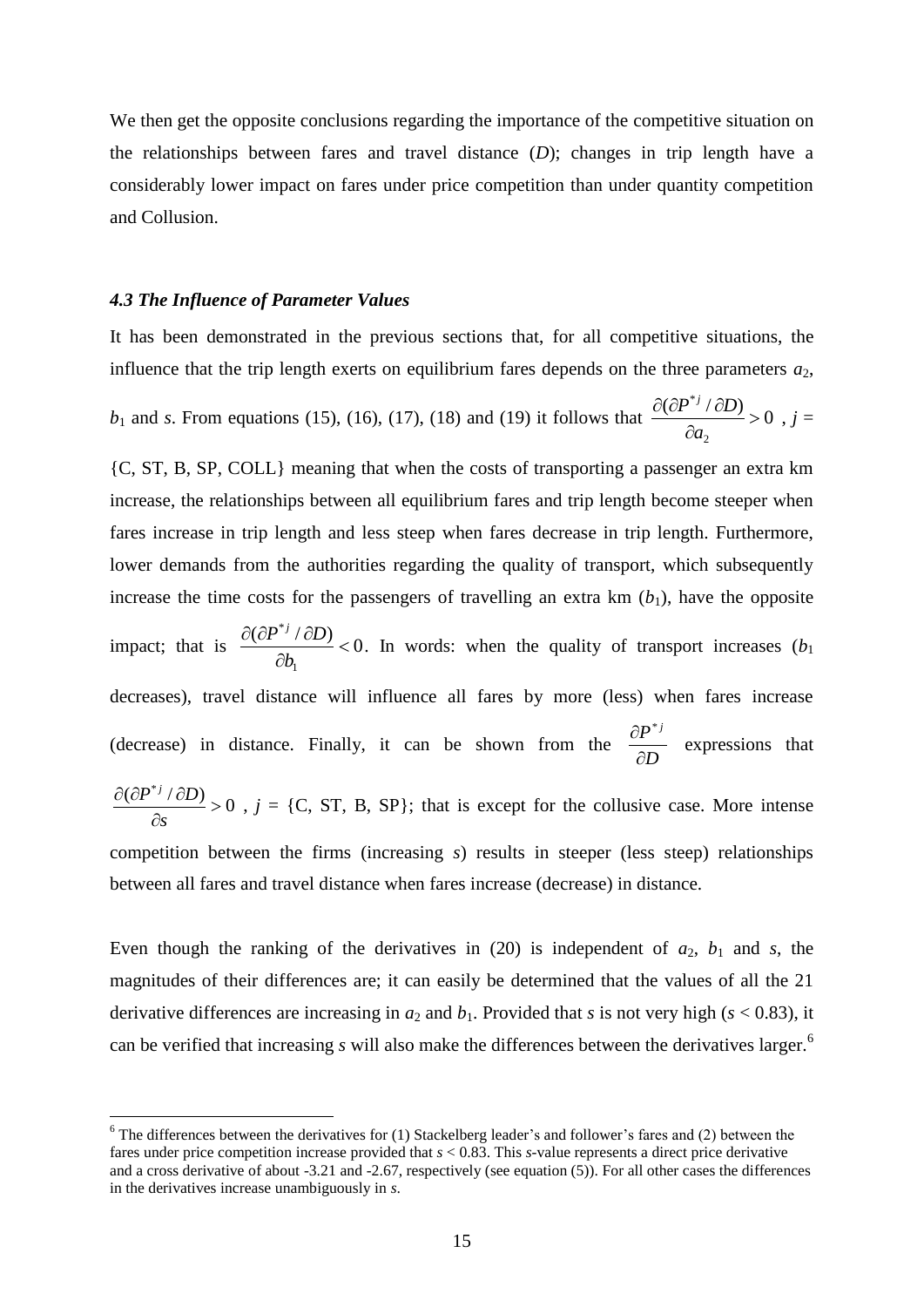We then get the opposite conclusions regarding the importance of the competitive situation on the relationships between fares and travel distance (*D*); changes in trip length have a considerably lower impact on fares under price competition than under quantity competition and Collusion.

#### *4.3 The Influence of Parameter Values*

1

It has been demonstrated in the previous sections that, for all competitive situations, the influence that the trip length exerts on equilibrium fares depends on the three parameters  $a_2$ ,

 $b_1$  and *s*. From equations (15), (16), (17), (18) and (19) it follows that  $\frac{\partial (\partial P^{*j}/\partial D)}{\partial z} > 0$ 2 \*  $>$  $\hat{o}$  $\partial (\partial \! P^{*j} \, / \, \partial$ *a*  $P^{\ast j}$  /  $\partial D$  $, j =$ 

{C, ST, B, SP, COLL} meaning that when the costs of transporting a passenger an extra km increase, the relationships between all equilibrium fares and trip length become steeper when fares increase in trip length and less steep when fares decrease in trip length. Furthermore, lower demands from the authorities regarding the quality of transport, which subsequently increase the time costs for the passengers of travelling an extra  $km (b_1)$ , have the opposite impact; that is  $\frac{\partial (\partial P^{\dagger j} / \partial D)}{\partial \Omega} < 0$ 1 \*  $\lt$  $\partial$  $\partial (\partial \overline{P}^{*j} \, / \, \partial$ *b*  $P^{\ast j}$  /  $\partial D$ . In words: when the quality of transport increases  $(b_1)$ decreases), travel distance will influence all fares by more (less) when fares increase (decrease) in distance. Finally, it can be shown from the *D*  $P^{^{\ast j}}$  $\widehat{o}$  $\partial \pmb{P}^*$ expressions that  $\frac{(\partial P^{*j}/\partial D)}{2}>0$  $\geq$  $\partial$  $\partial (\partial \overline{P}^{*j} \, / \, \partial)$ *s*  $P^{*_j}/\partial D$  $, j = \{C, ST, B, SP\}$ ; that is except for the collusive case. More intense competition between the firms (increasing *s*) results in steeper (less steep) relationships between all fares and travel distance when fares increase (decrease) in distance.

Even though the ranking of the derivatives in (20) is independent of  $a_2$ ,  $b_1$  and  $s$ , the magnitudes of their differences are; it can easily be determined that the values of all the 21 derivative differences are increasing in  $a_2$  and  $b_1$ . Provided that *s* is not very high ( $s$  < 0.83), it can be verified that increasing *s* will also make the differences between the derivatives larger.<sup>6</sup>

 $6$  The differences between the derivatives for (1) Stackelberg leader's and follower's fares and (2) between the fares under price competition increase provided that *s* < 0.83. This *s*-value represents a direct price derivative and a cross derivative of about -3.21 and -2.67, respectively (see equation (5)). For all other cases the differences in the derivatives increase unambiguously in *s*.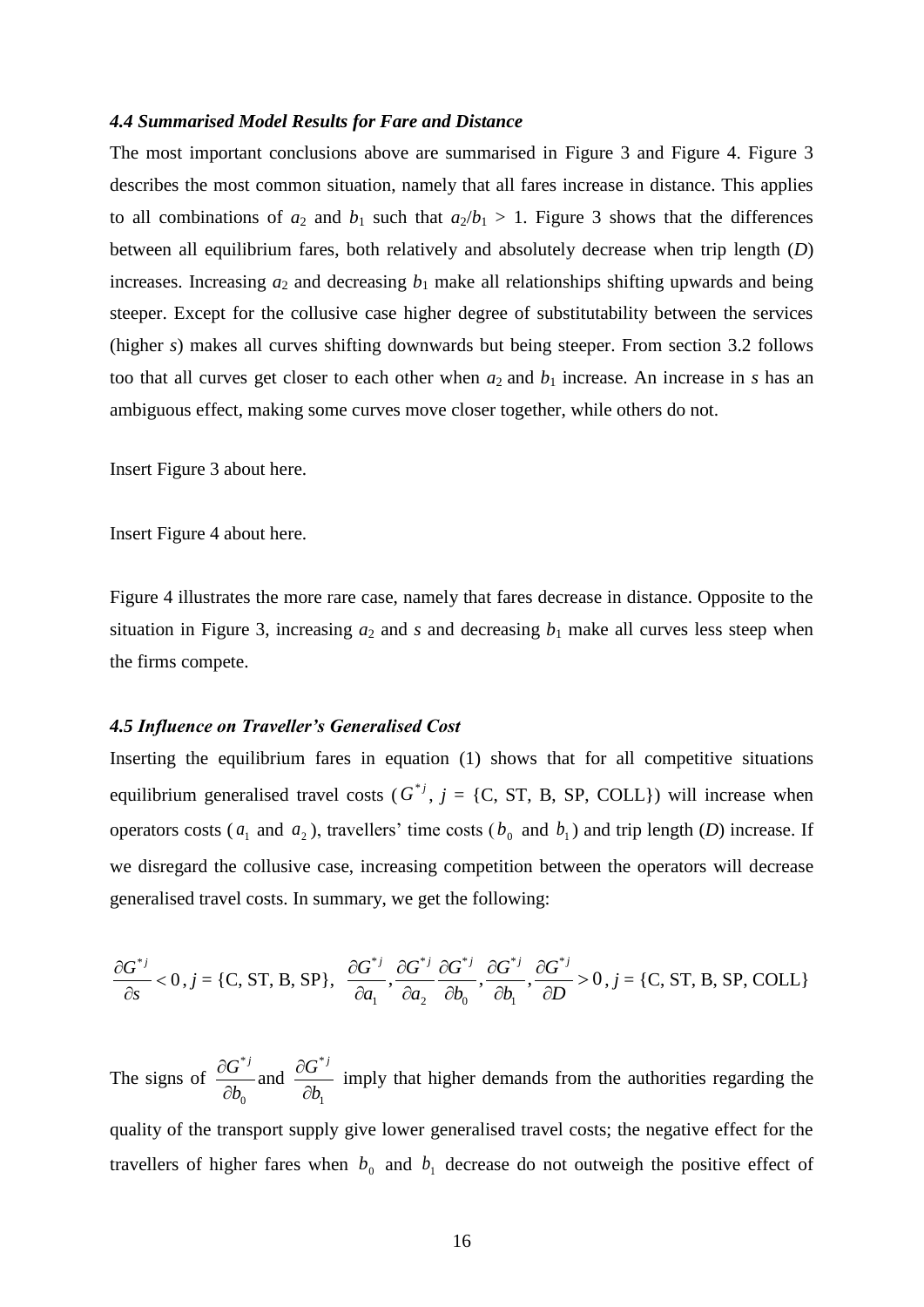#### *4.4 Summarised Model Results for Fare and Distance*

The most important conclusions above are summarised in Figure 3 and Figure 4. Figure 3 describes the most common situation, namely that all fares increase in distance. This applies to all combinations of  $a_2$  and  $b_1$  such that  $a_2/b_1 > 1$ . Figure 3 shows that the differences between all equilibrium fares, both relatively and absolutely decrease when trip length (*D*) increases. Increasing  $a_2$  and decreasing  $b_1$  make all relationships shifting upwards and being steeper. Except for the collusive case higher degree of substitutability between the services (higher *s*) makes all curves shifting downwards but being steeper. From section 3.2 follows too that all curves get closer to each other when  $a_2$  and  $b_1$  increase. An increase in *s* has an ambiguous effect, making some curves move closer together, while others do not.

Insert Figure 3 about here.

Insert Figure 4 about here.

Figure 4 illustrates the more rare case, namely that fares decrease in distance. Opposite to the situation in Figure 3, increasing  $a_2$  and  $s$  and decreasing  $b_1$  make all curves less steep when the firms compete.

#### *4.5 Influence on Traveller's Generalised Cost*

Inserting the equilibrium fares in equation (1) shows that for all competitive situations equilibrium generalised travel costs ( $G^{*j}$ ,  $j = \{C, ST, B, SP, COLL\}$ ) will increase when operators costs ( $a_1$  and  $a_2$ ), travellers' time costs ( $b_0$  and  $b_1$ ) and trip length (*D*) increase. If we disregard the collusive case, increasing competition between the operators will decrease generalised travel costs. In summary, we get the following:

$$
\frac{\partial G^{*j}}{\partial s} < 0, j = \{C, ST, B, SP\}, \frac{\partial G^{*j}}{\partial a_1}, \frac{\partial G^{*j}}{\partial a_2}, \frac{\partial G^{*j}}{\partial b_0}, \frac{\partial G^{*j}}{\partial b_1}, \frac{\partial G^{*j}}{\partial D} > 0, j = \{C, ST, B, SP, COLL\}
$$

The signs of  $\boldsymbol{0}$ \* *b*  $G^{^{\ast j}}$  $\partial$  $\frac{\partial G^{*j}}{\partial x}$  and 1 \* *b*  $G^{^{\ast j}}$  $\partial$  $\frac{\partial G^{*j}}{\partial x^{j}}$  imply that higher demands from the authorities regarding the quality of the transport supply give lower generalised travel costs; the negative effect for the travellers of higher fares when  $b_0$  and  $b_1$  decrease do not outweigh the positive effect of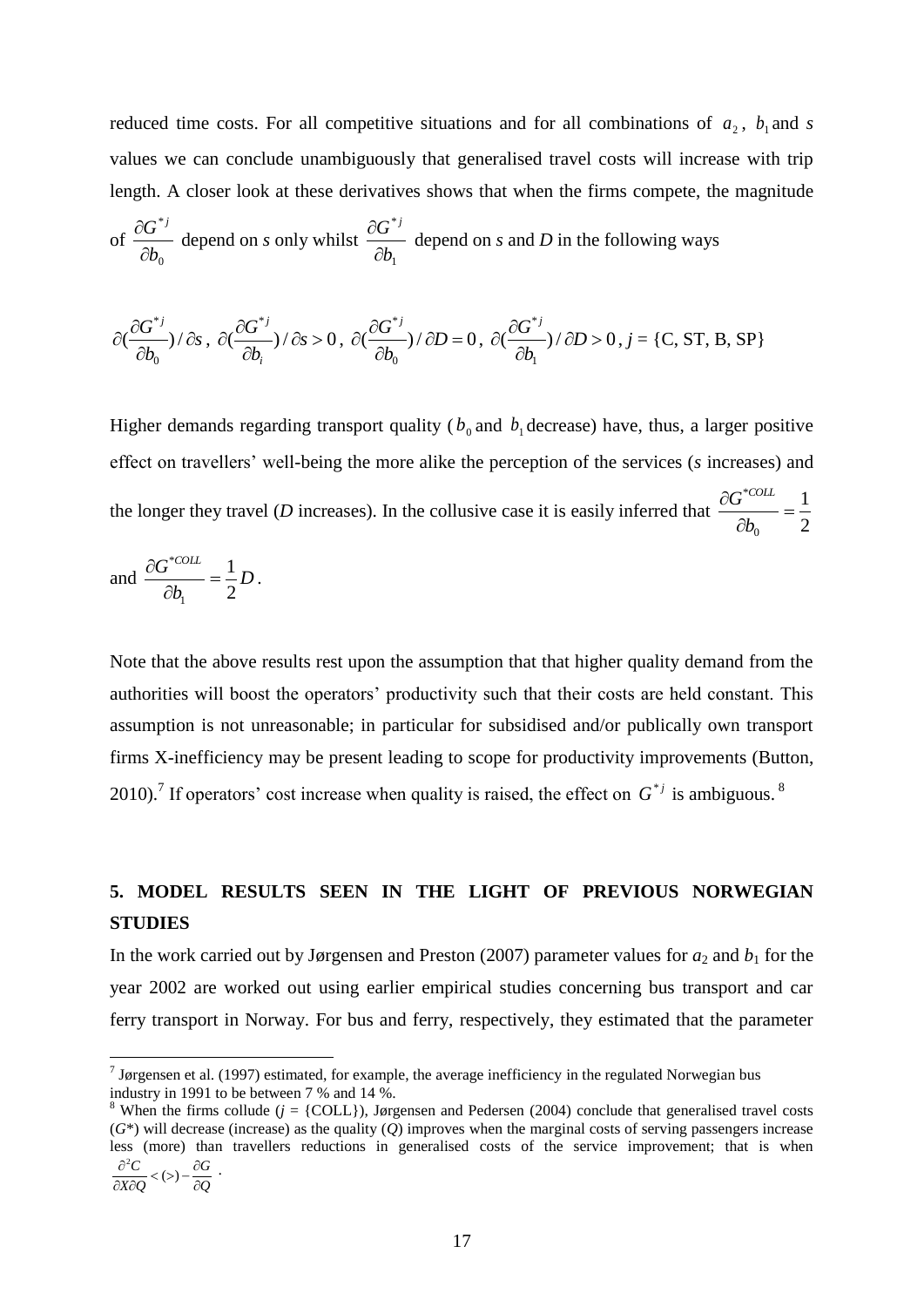reduced time costs. For all competitive situations and for all combinations of  $a_2$ ,  $b_1$  and *s* values we can conclude unambiguously that generalised travel costs will increase with trip length. A closer look at these derivatives shows that when the firms compete, the magnitude

of 
$$
\frac{\partial G^{*j}}{\partial b_0}
$$
 depend on *s* only whilst  $\frac{\partial G^{*j}}{\partial b_1}$  depend on *s* and *D* in the following ways

$$
\partial(\frac{\partial G^{*j}}{\partial b_0})/\partial s\,,\,\partial(\frac{\partial G^{*j}}{\partial b_i})/\partial s > 0\,,\,\partial(\frac{\partial G^{*j}}{\partial b_0})/\partial D = 0\,,\,\partial(\frac{\partial G^{*j}}{\partial b_1})/\partial D > 0\,,\,j = \{C,\,ST,\,B,\,SP\}
$$

Higher demands regarding transport quality ( $b_0$  and  $b_1$  decrease) have, thus, a larger positive effect on travellers' well-being the more alike the perception of the services (*s* increases) and the longer they travel (*D* increases). In the collusive case it is easily inferred that 2 1  $\overline{0}$ \*  $=$  $\hat{o}$  $\hat{o}$ *b*  $G^{*COLL}$ 

and 
$$
\frac{\partial G^{*COL}}{\partial b_1} = \frac{1}{2} D.
$$

1

*X Q*

*Q*

 $\partial$ 

Note that the above results rest upon the assumption that that higher quality demand from the authorities will boost the operators' productivity such that their costs are held constant. This assumption is not unreasonable; in particular for subsidised and/or publically own transport firms X-inefficiency may be present leading to scope for productivity improvements (Button, 2010).<sup>7</sup> If operators' cost increase when quality is raised, the effect on  $G^{*j}$  is ambiguous.<sup>8</sup>

## **5. MODEL RESULTS SEEN IN THE LIGHT OF PREVIOUS NORWEGIAN STUDIES**

In the work carried out by Jørgensen and Preston (2007) parameter values for  $a_2$  and  $b_1$  for the year 2002 are worked out using earlier empirical studies concerning bus transport and car ferry transport in Norway. For bus and ferry, respectively, they estimated that the parameter

<sup>&</sup>lt;sup>7</sup> Jørgensen et al. (1997) estimated, for example, the average inefficiency in the regulated Norwegian bus industry in 1991 to be between 7 % and 14 %.

<sup>&</sup>lt;sup>8</sup> When the firms collude ( $j = \{COLL\}$ ), Jørgensen and Pedersen (2004) conclude that generalised travel costs  $(G^*)$  will decrease (increase) as the quality  $(Q)$  improves when the marginal costs of serving passengers increase less (more) than travellers reductions in generalised costs of the service improvement; that is when  $\frac{2C}{2C}$  < (>) *G C*  $\frac{\partial^2 C}{\partial X \partial Q}$  < (>) –  $\frac{\partial C}{\partial Q}$  $\frac{\partial^2 C}{\partial (s)} < (s) - \frac{\partial G}{\partial (s)}$ .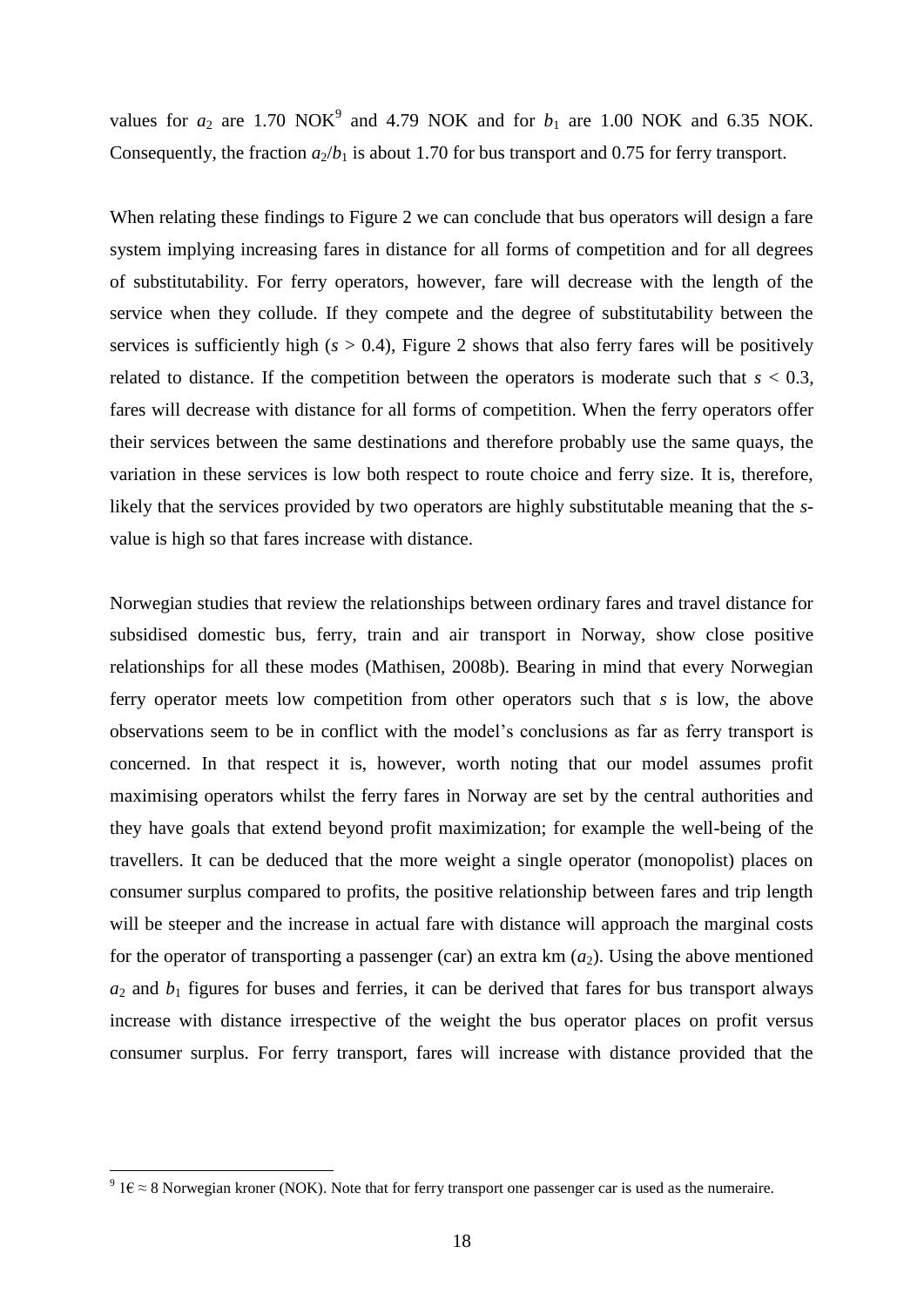values for  $a_2$  are 1.70 NOK<sup>9</sup> and 4.79 NOK and for  $b_1$  are 1.00 NOK and 6.35 NOK. Consequently, the fraction  $a_2/b_1$  is about 1.70 for bus transport and 0.75 for ferry transport.

When relating these findings to Figure 2 we can conclude that bus operators will design a fare system implying increasing fares in distance for all forms of competition and for all degrees of substitutability. For ferry operators, however, fare will decrease with the length of the service when they collude. If they compete and the degree of substitutability between the services is sufficiently high  $(s > 0.4)$ , Figure 2 shows that also ferry fares will be positively related to distance. If the competition between the operators is moderate such that  $s < 0.3$ , fares will decrease with distance for all forms of competition. When the ferry operators offer their services between the same destinations and therefore probably use the same quays, the variation in these services is low both respect to route choice and ferry size. It is, therefore, likely that the services provided by two operators are highly substitutable meaning that the *s*value is high so that fares increase with distance.

Norwegian studies that review the relationships between ordinary fares and travel distance for subsidised domestic bus, ferry, train and air transport in Norway, show close positive relationships for all these modes (Mathisen, 2008b). Bearing in mind that every Norwegian ferry operator meets low competition from other operators such that *s* is low, the above observations seem to be in conflict with the model's conclusions as far as ferry transport is concerned. In that respect it is, however, worth noting that our model assumes profit maximising operators whilst the ferry fares in Norway are set by the central authorities and they have goals that extend beyond profit maximization; for example the well-being of the travellers. It can be deduced that the more weight a single operator (monopolist) places on consumer surplus compared to profits, the positive relationship between fares and trip length will be steeper and the increase in actual fare with distance will approach the marginal costs for the operator of transporting a passenger (car) an extra  $km (a<sub>2</sub>)$ . Using the above mentioned  $a_2$  and  $b_1$  figures for buses and ferries, it can be derived that fares for bus transport always increase with distance irrespective of the weight the bus operator places on profit versus consumer surplus. For ferry transport, fares will increase with distance provided that the

 $\frac{9}{16}$  i  $\geq 8$  Norwegian kroner (NOK). Note that for ferry transport one passenger car is used as the numeraire.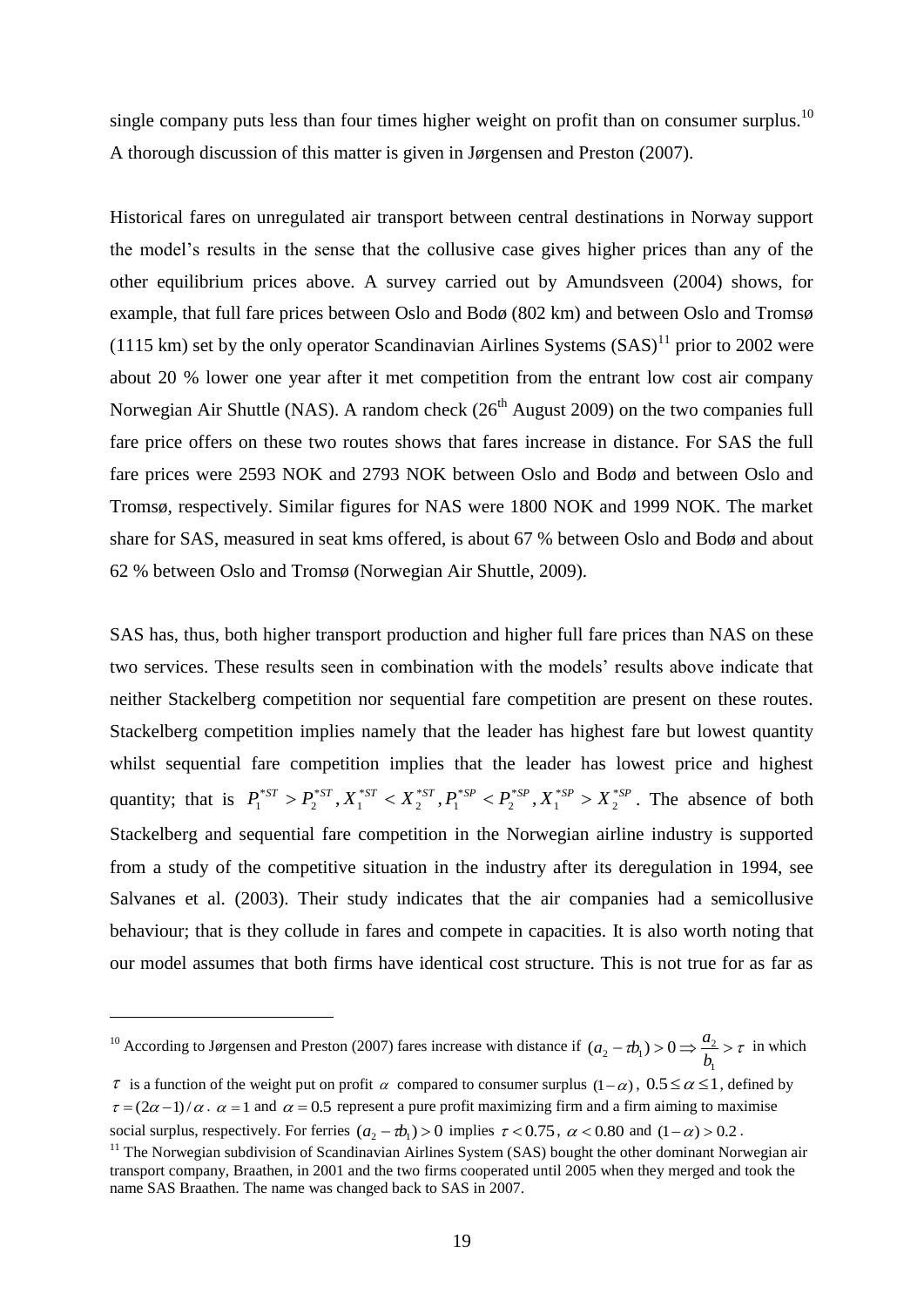single company puts less than four times higher weight on profit than on consumer surplus.<sup>10</sup> A thorough discussion of this matter is given in Jørgensen and Preston (2007).

Historical fares on unregulated air transport between central destinations in Norway support the model's results in the sense that the collusive case gives higher prices than any of the other equilibrium prices above. A survey carried out by Amundsveen (2004) shows, for example, that full fare prices between Oslo and Bodø (802 km) and between Oslo and Tromsø (1115 km) set by the only operator Scandinavian Airlines Systems  $(SAS)^{11}$  prior to 2002 were about 20 % lower one year after it met competition from the entrant low cost air company Norwegian Air Shuttle (NAS). A random check  $(26<sup>th</sup>$  August 2009) on the two companies full fare price offers on these two routes shows that fares increase in distance. For SAS the full fare prices were 2593 NOK and 2793 NOK between Oslo and Bodø and between Oslo and Tromsø, respectively. Similar figures for NAS were 1800 NOK and 1999 NOK. The market share for SAS, measured in seat kms offered, is about 67 % between Oslo and Bodø and about 62 % between Oslo and Tromsø (Norwegian Air Shuttle, 2009).

SAS has, thus, both higher transport production and higher full fare prices than NAS on these two services. These results seen in combination with the models' results above indicate that neither Stackelberg competition nor sequential fare competition are present on these routes. Stackelberg competition implies namely that the leader has highest fare but lowest quantity whilst sequential fare competition implies that the leader has lowest price and highest quantity; that is  $P_1^{*ST} > P_2^{*ST}$ ,  $X_1^{*ST} < X_2^{*ST}$ ,  $P_1^{*SP} < P_2^{*SP}$ ,  $X_1^{*SP} > X_2^{*SP}$ 2 \* 1 \* 2 \* 1 \* 2 \* 1 \* 2  $P_1^{*ST} > P_2^{*ST}$ ,  $X_1^{*ST} < X_2^{*ST}$ ,  $P_1^{*SP} < P_2^{*SP}$ ,  $X_1^{*SP} > X_2^{*SP}$ . The absence of both Stackelberg and sequential fare competition in the Norwegian airline industry is supported from a study of the competitive situation in the industry after its deregulation in 1994, see Salvanes et al. (2003). Their study indicates that the air companies had a semicollusive behaviour; that is they collude in fares and compete in capacities. It is also worth noting that our model assumes that both firms have identical cost structure. This is not true for as far as

<u>.</u>

 $\tau$  is a function of the weight put on profit  $\alpha$  compared to consumer surplus  $(1-\alpha)$ ,  $0.5 \le \alpha \le 1$ , defined by  $\tau = (2\alpha - 1)/\alpha$ .  $\alpha = 1$  and  $\alpha = 0.5$  represent a pure profit maximizing firm and a firm aiming to maximise social surplus, respectively. For ferries  $(a_2 - b_1) > 0$  implies  $\tau < 0.75$ ,  $\alpha < 0.80$  and  $(1 - \alpha) > 0.2$ .

<sup>&</sup>lt;sup>10</sup> According to Jørgensen and Preston (2007) fares increase with distance if  $(a_2 - b_1) > 0 \Rightarrow \frac{a_2}{1} > \tau$  $\overline{1}$  $(a_2 - ib_1) > 0 \Rightarrow \frac{a_2}{b_1}$ *b*  $(a_2 - ib_1) > 0 \Rightarrow \frac{a_2}{b} > \tau$  in which

<sup>&</sup>lt;sup>11</sup> The Norwegian subdivision of Scandinavian Airlines System (SAS) bought the other dominant Norwegian air transport company, Braathen, in 2001 and the two firms cooperated until 2005 when they merged and took the name SAS Braathen. The name was changed back to SAS in 2007.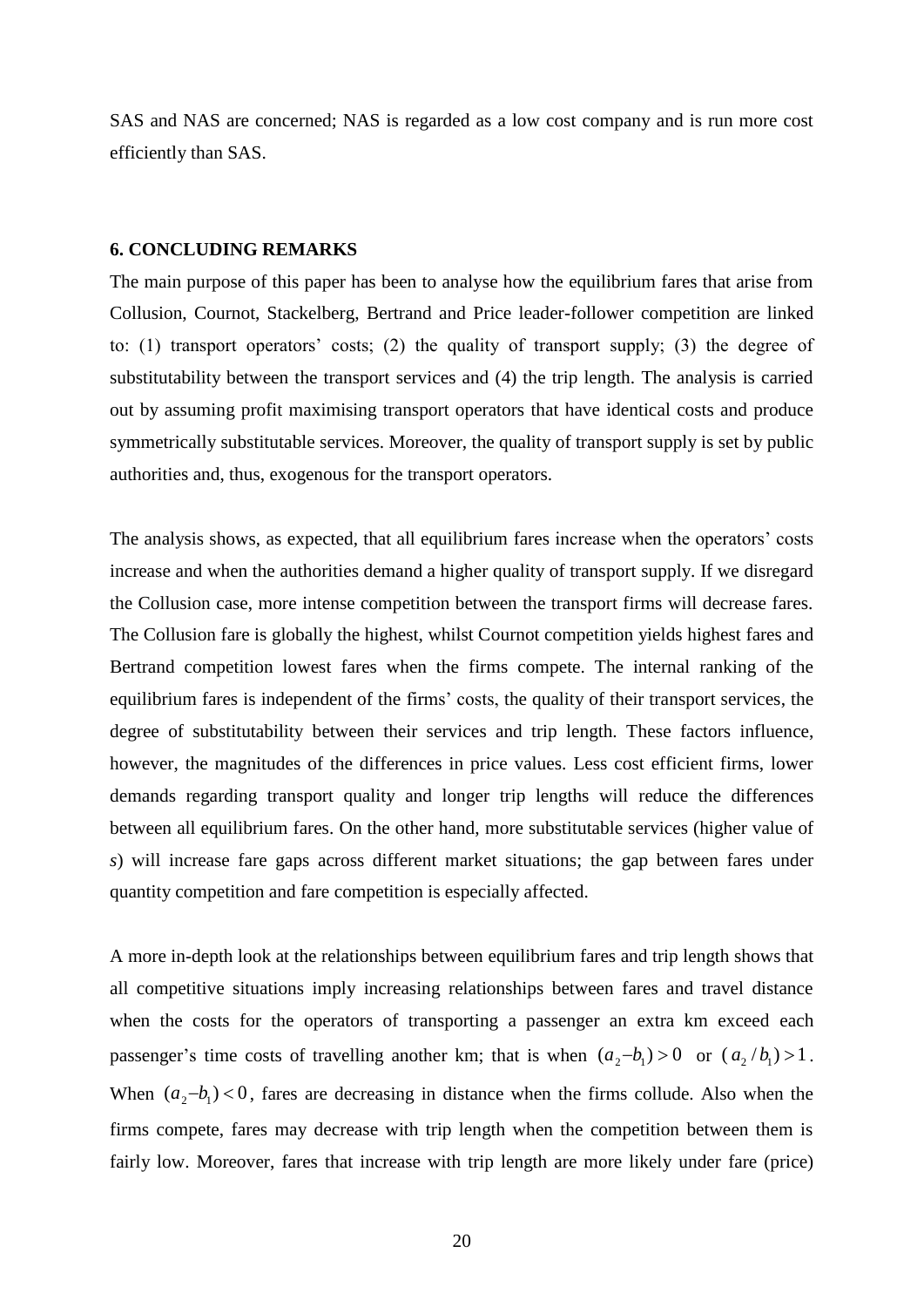SAS and NAS are concerned; NAS is regarded as a low cost company and is run more cost efficiently than SAS.

### **6. CONCLUDING REMARKS**

The main purpose of this paper has been to analyse how the equilibrium fares that arise from Collusion, Cournot, Stackelberg, Bertrand and Price leader-follower competition are linked to: (1) transport operators' costs; (2) the quality of transport supply; (3) the degree of substitutability between the transport services and (4) the trip length. The analysis is carried out by assuming profit maximising transport operators that have identical costs and produce symmetrically substitutable services. Moreover, the quality of transport supply is set by public authorities and, thus, exogenous for the transport operators.

The analysis shows, as expected, that all equilibrium fares increase when the operators' costs increase and when the authorities demand a higher quality of transport supply. If we disregard the Collusion case, more intense competition between the transport firms will decrease fares. The Collusion fare is globally the highest, whilst Cournot competition yields highest fares and Bertrand competition lowest fares when the firms compete. The internal ranking of the equilibrium fares is independent of the firms' costs, the quality of their transport services, the degree of substitutability between their services and trip length. These factors influence, however, the magnitudes of the differences in price values. Less cost efficient firms, lower demands regarding transport quality and longer trip lengths will reduce the differences between all equilibrium fares. On the other hand, more substitutable services (higher value of *s*) will increase fare gaps across different market situations; the gap between fares under quantity competition and fare competition is especially affected.

A more in-depth look at the relationships between equilibrium fares and trip length shows that all competitive situations imply increasing relationships between fares and travel distance when the costs for the operators of transporting a passenger an extra km exceed each passenger's time costs of travelling another km; that is when  $(a_2-b_1) > 0$  or  $(a_2/b_1) > 1$ . When  $(a_2-b_1) < 0$ , fares are decreasing in distance when the firms collude. Also when the firms compete, fares may decrease with trip length when the competition between them is fairly low. Moreover, fares that increase with trip length are more likely under fare (price)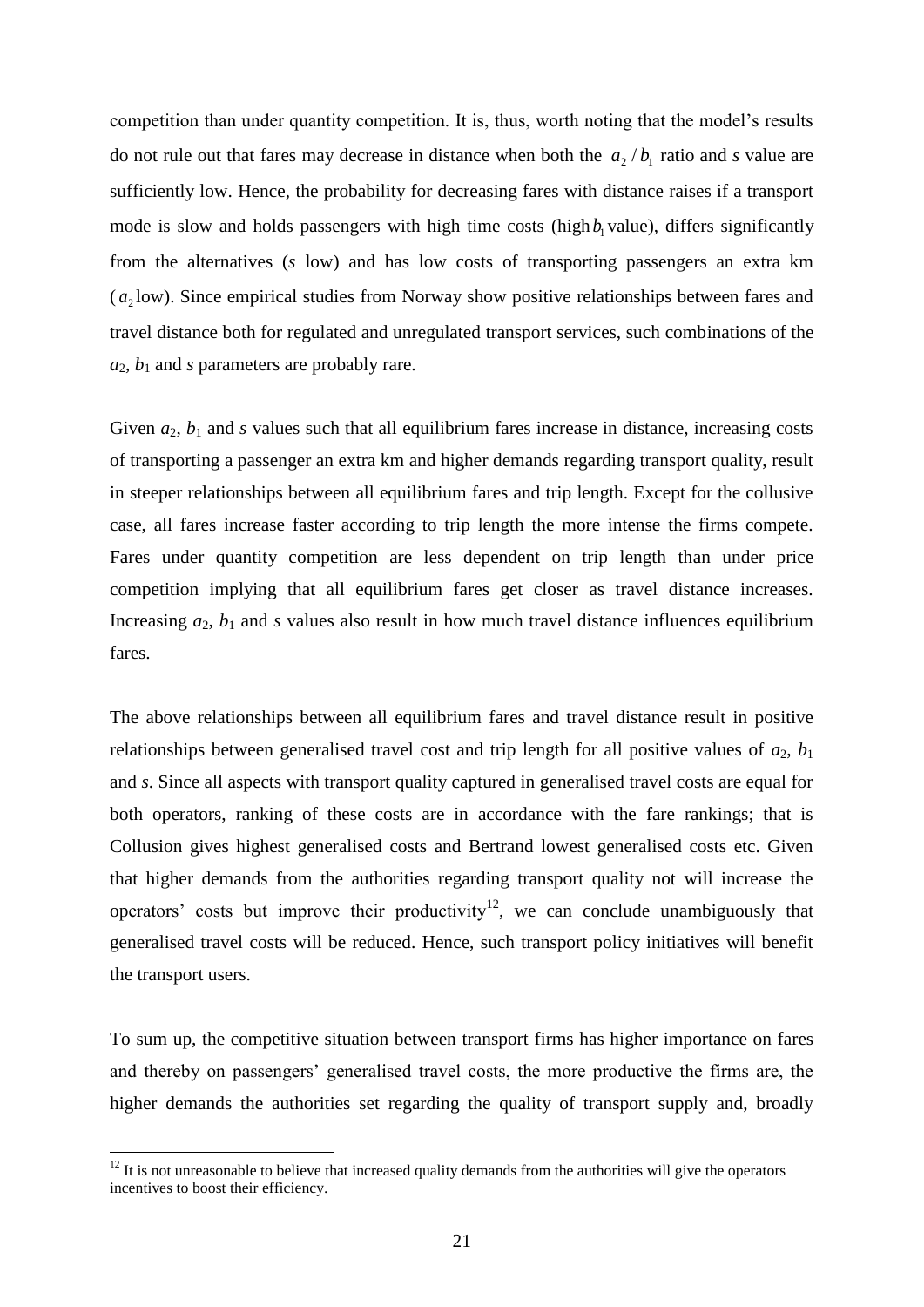competition than under quantity competition. It is, thus, worth noting that the model's results do not rule out that fares may decrease in distance when both the  $a_2/b_1$  ratio and *s* value are sufficiently low. Hence, the probability for decreasing fares with distance raises if a transport mode is slow and holds passengers with high time costs (high  $b<sub>l</sub>$  value), differs significantly from the alternatives (*s* low) and has low costs of transporting passengers an extra km (a<sub>2</sub>low). Since empirical studies from Norway show positive relationships between fares and travel distance both for regulated and unregulated transport services, such combinations of the  $a_2, b_1$  and *s* parameters are probably rare.

Given  $a_2$ ,  $b_1$  and  $s$  values such that all equilibrium fares increase in distance, increasing costs of transporting a passenger an extra km and higher demands regarding transport quality, result in steeper relationships between all equilibrium fares and trip length. Except for the collusive case, all fares increase faster according to trip length the more intense the firms compete. Fares under quantity competition are less dependent on trip length than under price competition implying that all equilibrium fares get closer as travel distance increases. Increasing  $a_2$ ,  $b_1$  and  $s$  values also result in how much travel distance influences equilibrium fares.

The above relationships between all equilibrium fares and travel distance result in positive relationships between generalised travel cost and trip length for all positive values of  $a_2$ ,  $b_1$ and *s*. Since all aspects with transport quality captured in generalised travel costs are equal for both operators, ranking of these costs are in accordance with the fare rankings; that is Collusion gives highest generalised costs and Bertrand lowest generalised costs etc. Given that higher demands from the authorities regarding transport quality not will increase the operators' costs but improve their productivity<sup>12</sup>, we can conclude unambiguously that generalised travel costs will be reduced. Hence, such transport policy initiatives will benefit the transport users.

To sum up, the competitive situation between transport firms has higher importance on fares and thereby on passengers' generalised travel costs, the more productive the firms are, the higher demands the authorities set regarding the quality of transport supply and, broadly

<u>.</u>

 $12$  It is not unreasonable to believe that increased quality demands from the authorities will give the operators incentives to boost their efficiency.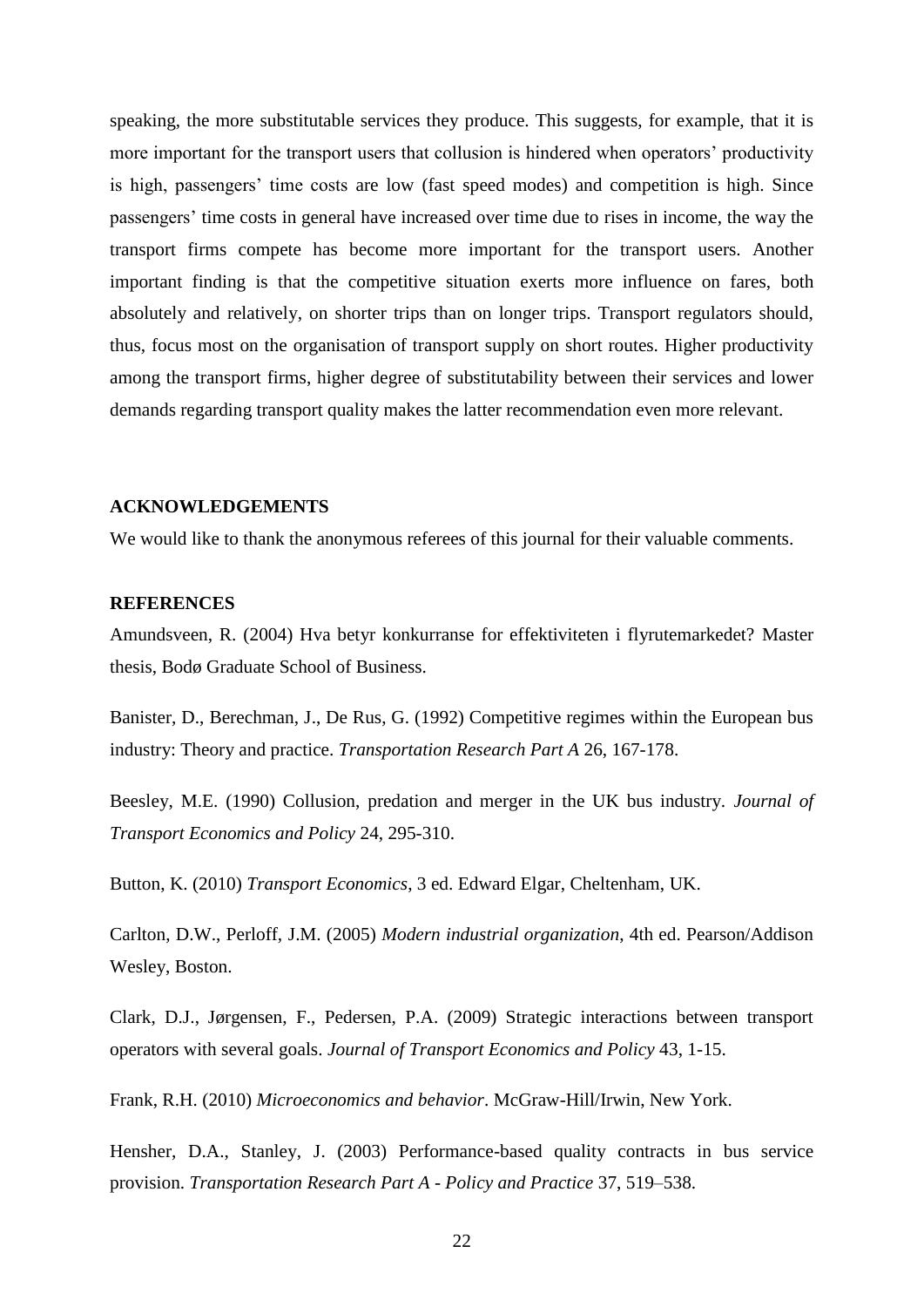speaking, the more substitutable services they produce. This suggests, for example, that it is more important for the transport users that collusion is hindered when operators' productivity is high, passengers' time costs are low (fast speed modes) and competition is high. Since passengers' time costs in general have increased over time due to rises in income, the way the transport firms compete has become more important for the transport users. Another important finding is that the competitive situation exerts more influence on fares, both absolutely and relatively, on shorter trips than on longer trips. Transport regulators should, thus, focus most on the organisation of transport supply on short routes. Higher productivity among the transport firms, higher degree of substitutability between their services and lower demands regarding transport quality makes the latter recommendation even more relevant.

## **ACKNOWLEDGEMENTS**

We would like to thank the anonymous referees of this journal for their valuable comments.

### **REFERENCES**

Amundsveen, R. (2004) Hva betyr konkurranse for effektiviteten i flyrutemarkedet? Master thesis, Bodø Graduate School of Business.

Banister, D., Berechman, J., De Rus, G. (1992) Competitive regimes within the European bus industry: Theory and practice. *Transportation Research Part A* 26, 167-178.

Beesley, M.E. (1990) Collusion, predation and merger in the UK bus industry. *Journal of Transport Economics and Policy* 24, 295-310.

Button, K. (2010) *Transport Economics*, 3 ed. Edward Elgar, Cheltenham, UK.

Carlton, D.W., Perloff, J.M. (2005) *Modern industrial organization*, 4th ed. Pearson/Addison Wesley, Boston.

Clark, D.J., Jørgensen, F., Pedersen, P.A. (2009) Strategic interactions between transport operators with several goals. *Journal of Transport Economics and Policy* 43, 1-15.

Frank, R.H. (2010) *Microeconomics and behavior*. McGraw-Hill/Irwin, New York.

Hensher, D.A., Stanley, J. (2003) Performance-based quality contracts in bus service provision. *Transportation Research Part A - Policy and Practice* 37, 519–538.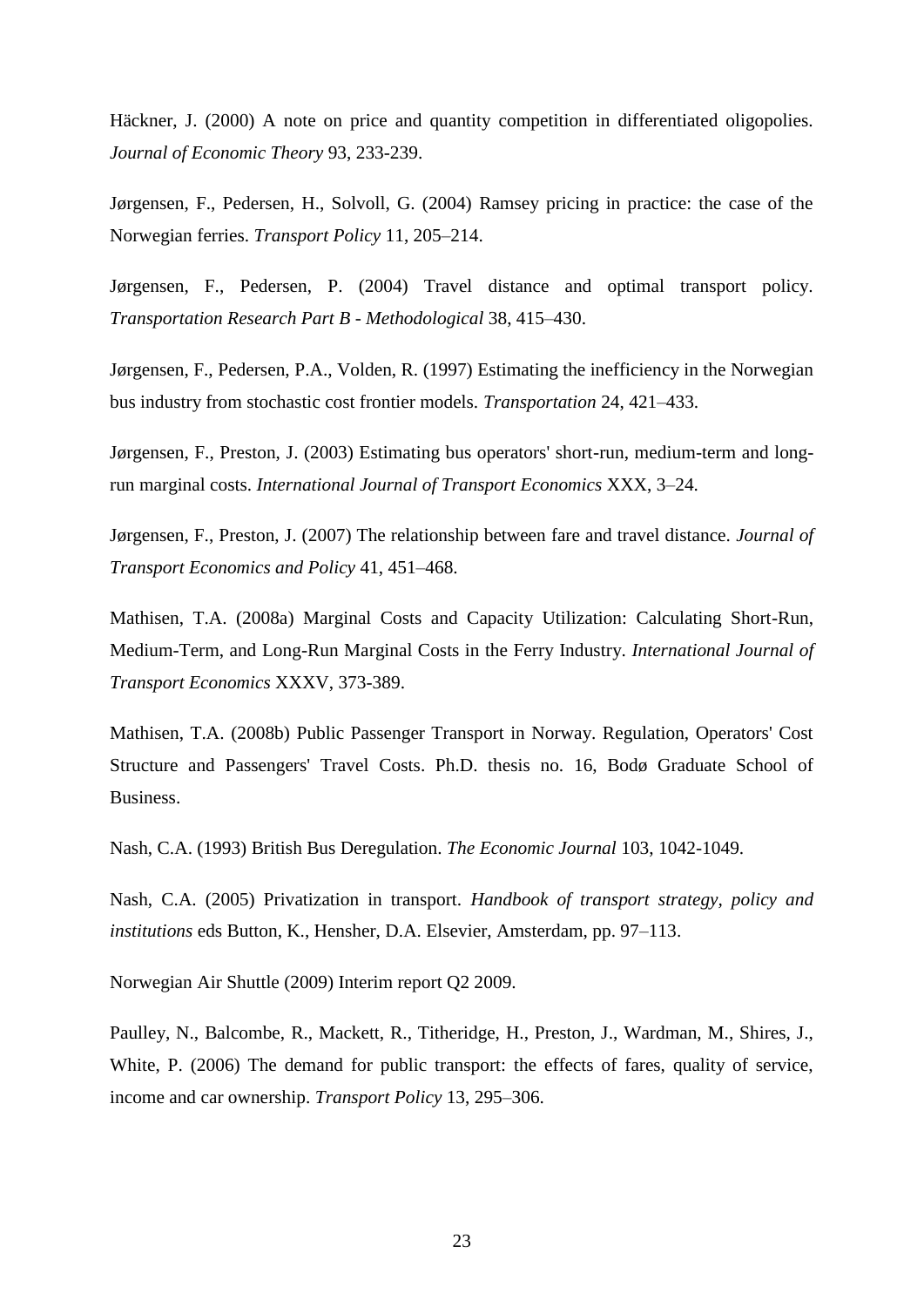Häckner, J. (2000) A note on price and quantity competition in differentiated oligopolies. *Journal of Economic Theory* 93, 233-239.

Jørgensen, F., Pedersen, H., Solvoll, G. (2004) Ramsey pricing in practice: the case of the Norwegian ferries. *Transport Policy* 11, 205–214.

Jørgensen, F., Pedersen, P. (2004) Travel distance and optimal transport policy. *Transportation Research Part B - Methodological* 38, 415–430.

Jørgensen, F., Pedersen, P.A., Volden, R. (1997) Estimating the inefficiency in the Norwegian bus industry from stochastic cost frontier models. *Transportation* 24, 421–433.

Jørgensen, F., Preston, J. (2003) Estimating bus operators' short-run, medium-term and longrun marginal costs. *International Journal of Transport Economics* XXX, 3–24.

Jørgensen, F., Preston, J. (2007) The relationship between fare and travel distance. *Journal of Transport Economics and Policy* 41, 451–468.

Mathisen, T.A. (2008a) Marginal Costs and Capacity Utilization: Calculating Short-Run, Medium-Term, and Long-Run Marginal Costs in the Ferry Industry. *International Journal of Transport Economics* XXXV, 373-389.

Mathisen, T.A. (2008b) Public Passenger Transport in Norway. Regulation, Operators' Cost Structure and Passengers' Travel Costs. Ph.D. thesis no. 16, Bodø Graduate School of Business.

Nash, C.A. (1993) British Bus Deregulation. *The Economic Journal* 103, 1042-1049.

Nash, C.A. (2005) Privatization in transport. *Handbook of transport strategy, policy and institutions* eds Button, K., Hensher, D.A. Elsevier, Amsterdam, pp. 97–113.

Norwegian Air Shuttle (2009) Interim report Q2 2009.

Paulley, N., Balcombe, R., Mackett, R., Titheridge, H., Preston, J., Wardman, M., Shires, J., White, P. (2006) The demand for public transport: the effects of fares, quality of service, income and car ownership. *Transport Policy* 13, 295–306.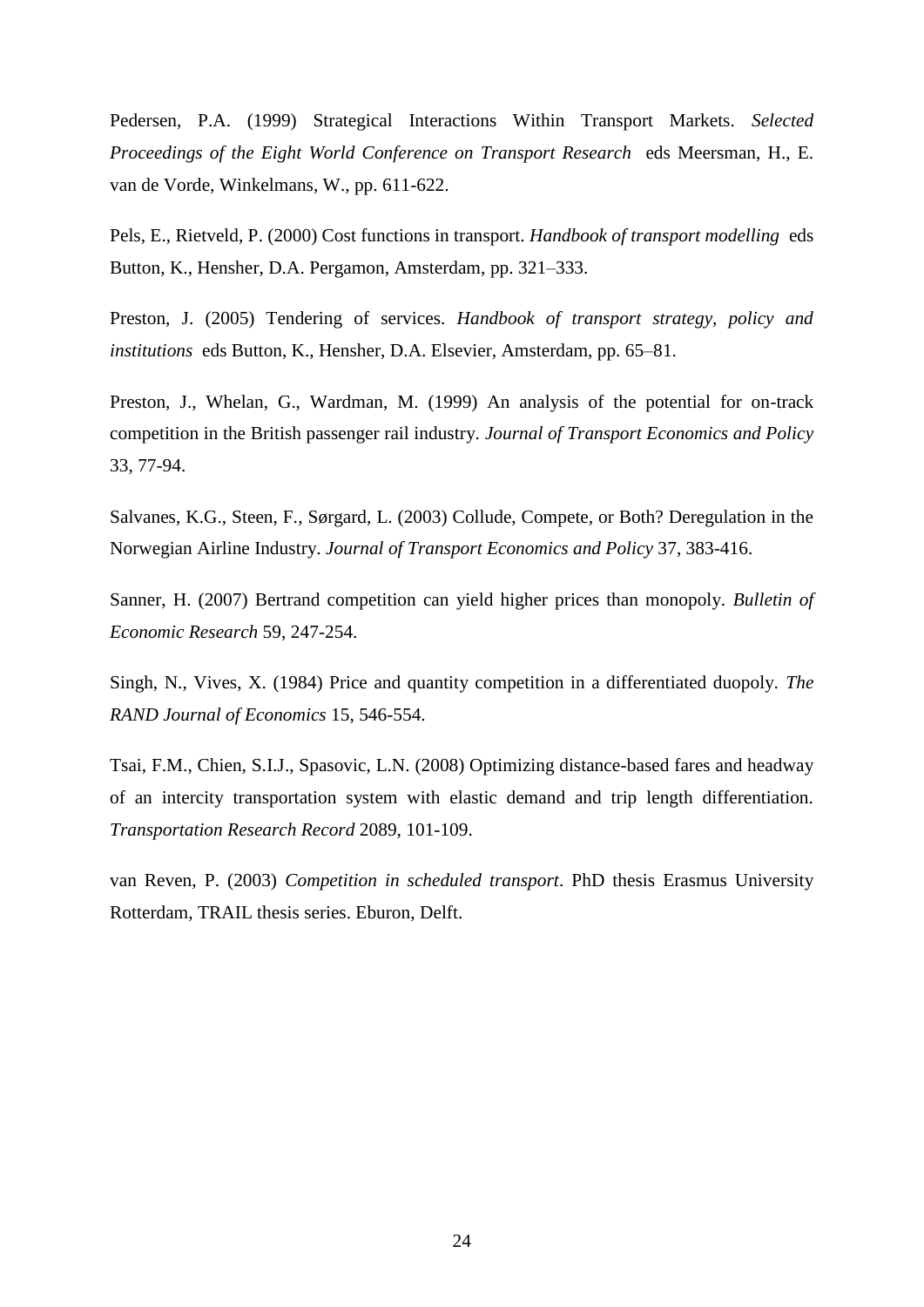Pedersen, P.A. (1999) Strategical Interactions Within Transport Markets. *Selected Proceedings of the Eight World Conference on Transport Research* eds Meersman, H., E. van de Vorde, Winkelmans, W., pp. 611-622.

Pels, E., Rietveld, P. (2000) Cost functions in transport. *Handbook of transport modelling* eds Button, K., Hensher, D.A. Pergamon, Amsterdam, pp. 321–333.

Preston, J. (2005) Tendering of services. *Handbook of transport strategy, policy and institutions* eds Button, K., Hensher, D.A. Elsevier, Amsterdam, pp. 65–81.

Preston, J., Whelan, G., Wardman, M. (1999) An analysis of the potential for on-track competition in the British passenger rail industry. *Journal of Transport Economics and Policy* 33, 77-94.

Salvanes, K.G., Steen, F., Sørgard, L. (2003) Collude, Compete, or Both? Deregulation in the Norwegian Airline Industry. *Journal of Transport Economics and Policy* 37, 383-416.

Sanner, H. (2007) Bertrand competition can yield higher prices than monopoly. *Bulletin of Economic Research* 59, 247-254.

Singh, N., Vives, X. (1984) Price and quantity competition in a differentiated duopoly. *The RAND Journal of Economics* 15, 546-554.

Tsai, F.M., Chien, S.I.J., Spasovic, L.N. (2008) Optimizing distance-based fares and headway of an intercity transportation system with elastic demand and trip length differentiation. *Transportation Research Record* 2089, 101-109.

van Reven, P. (2003) *Competition in scheduled transport*. PhD thesis Erasmus University Rotterdam, TRAIL thesis series. Eburon, Delft.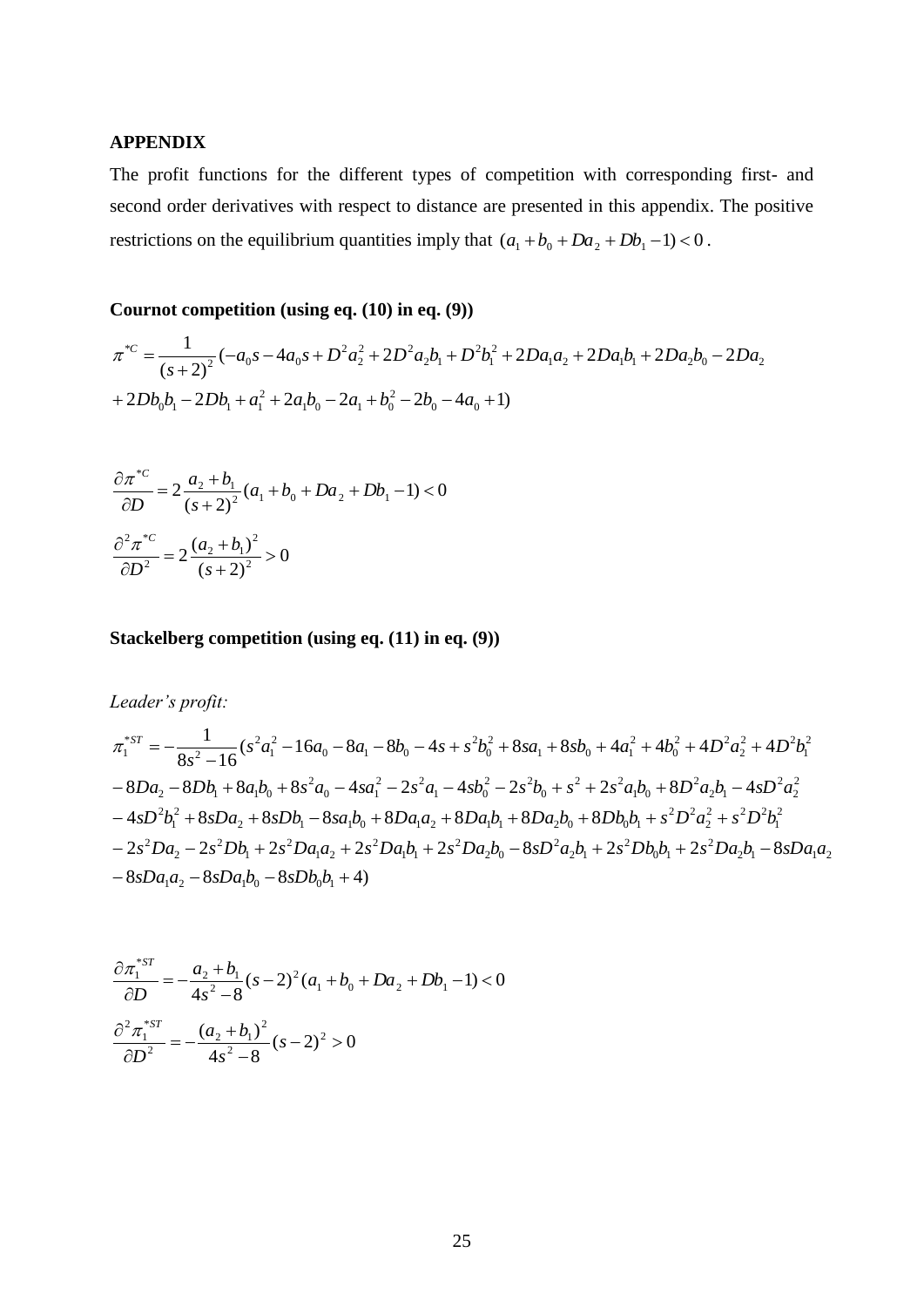## **APPENDIX**

11

The profit functions for the different types of competition with corresponding first- and second order derivatives with respect to distance are presented in this appendix. The positive restrictions on the equilibrium quantities imply that  $(a_1 + b_0 + Da_2 + Db_1 - 1) < 0$ .

## **Cournot competition (using eq. (10) in eq. (9))**

$$
\pi^{*c} = \frac{1}{(s+2)^2} (-a_0s - 4a_0s + D^2a_2^2 + 2D^2a_2b_1 + D^2b_1^2 + 2Da_1a_2 + 2Da_1b_1 + 2Da_2b_0 - 2Da_2 + 2Db_0b_1 - 2Db_1 + a_1^2 + 2a_1b_0 - 2a_1 + b_0^2 - 2b_0 - 4a_0 + 1)
$$

$$
\frac{\partial \pi^{*c}}{\partial D} = 2 \frac{a_2 + b_1}{(s+2)^2} (a_1 + b_0 + Da_2 + Db_1 - 1) < 0
$$

$$
\frac{\partial^2 \pi^{*c}}{\partial D^2} = 2 \frac{(a_2 + b_1)^2}{(s+2)^2} > 0
$$

## **Stackelberg competition (using eq. (11) in eq. (9))**

*Leader's profit:*

$$
\pi_1^{*ST} = -\frac{1}{8s^2 - 16}(s^2a_1^2 - 16a_0 - 8a_1 - 8b_0 - 4s + s^2b_0^2 + 8sa_1 + 8sb_0 + 4a_1^2 + 4b_0^2 + 4D^2a_2^2 + 4D^2b_1^2
$$
  
\n
$$
-8Da_2 - 8Db_1 + 8a_1b_0 + 8s^2a_0 - 4sa_1^2 - 2s^2a_1 - 4sb_0^2 - 2s^2b_0 + s^2 + 2s^2a_1b_0 + 8D^2a_2b_1 - 4sD^2a_2^2
$$
  
\n
$$
-4sD^2b_1^2 + 8sDa_2 + 8sDb_1 - 8sa_1b_0 + 8Da_1a_2 + 8Da_1b_1 + 8Da_2b_0 + 8Db_0b_1 + s^2D^2a_2^2 + s^2D^2b_1^2
$$
  
\n
$$
-2s^2Da_2 - 2s^2Db_1 + 2s^2Da_1a_2 + 2s^2Da_1b_1 + 2s^2Da_2b_0 - 8sD^2a_2b_1 + 2s^2Db_0b_1 + 2s^2Da_2b_1 - 8sDa_1a_2
$$
  
\n
$$
-8sDa_1a_2 - 8sDa_1b_0 - 8sDb_0b_1 + 4)
$$

$$
\frac{\partial \pi_1^{*ST}}{\partial D} = -\frac{a_2 + b_1}{4s^2 - 8}(s - 2)^2 (a_1 + b_0 + Da_2 + Db_1 - 1) < 0
$$
  

$$
\frac{\partial^2 \pi_1^{*ST}}{\partial D^2} = -\frac{(a_2 + b_1)^2}{4s^2 - 8}(s - 2)^2 > 0
$$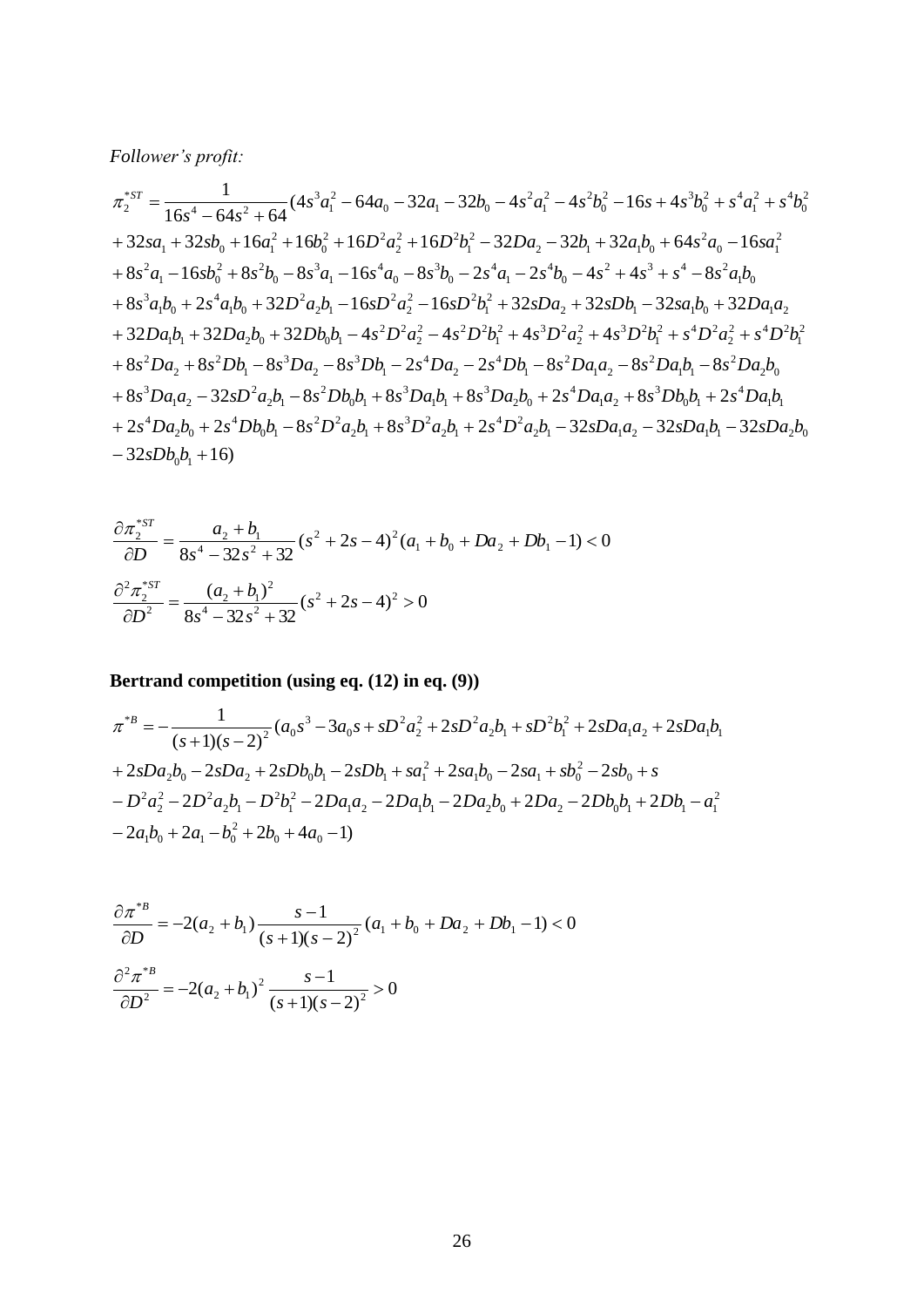*Follower's profit:*

$$
\pi_{2}^{*ST} = \frac{1}{16s^{4} - 64s^{2} + 64} (4s^{3}a_{1}^{2} - 64a_{0} - 32a_{1} - 32b_{0} - 4s^{2}a_{1}^{2} - 4s^{2}b_{0}^{2} - 16s + 4s^{3}b_{0}^{2} + s^{4}a_{1}^{2} + s^{4}b_{0}^{2}
$$
  
+32sa<sub>1</sub> + 32sb<sub>0</sub> + 16a<sub>1</sub><sup>2</sup> + 16b<sub>0</sub><sup>2</sup> + 16D<sup>2</sup>a<sub>2</sub><sup>2</sup> + 16D<sup>2</sup>b<sub>1</sub><sup>2</sup> - 32Da<sub>2</sub> - 32b<sub>1</sub> + 32a<sub>1</sub>b<sub>0</sub> + 64s<sup>2</sup>a<sub>0</sub> - 16sa<sub>1</sub><sup>2</sup>  
+ 8s<sup>2</sup>a<sub>1</sub> - 16sb<sub>0</sub><sup>2</sup> + 8s<sup>2</sup>b<sub>0</sub> - 8s<sup>3</sup>a<sub>1</sub> - 16s<sup>4</sup>a<sub>0</sub> - 8s<sup>3</sup>b<sub>0</sub> - 2s<sup>4</sup>a<sub>1</sub> - 2s<sup>4</sup>b<sub>0</sub> - 4s<sup>2</sup> + 4s<sup>3</sup> + s<sup>4</sup> - 8s<sup>2</sup>a<sub>1</sub>b<sub>0</sub>  
+ 8s<sup>3</sup>a<sub>1</sub>b<sub>0</sub> + 2s<sup>4</sup>a<sub>1</sub>b<sub>0</sub> + 32D<sup>2</sup>a<sub>2</sub>b<sub>1</sub> - 16sD<sup>2</sup>a<sub>2</sub><sup>2</sup> - 16sD<sup>2</sup>b<sub>1</sub><sup>2</sup> + 32sDa<sub>2</sub> + 32sDb<sub>1</sub> - 32sa<sub>1</sub>b<sub>0</sub> + 32Da<sub>1</sub>a<sub>2</sub>  
+ 32Da<sub>1</sub>b<sub>1</sub> + 32Da<sub>2</sub>

$$
\frac{\partial \pi_2^{sST}}{\partial D} = \frac{a_2 + b_1}{8s^4 - 32s^2 + 32} (s^2 + 2s - 4)^2 (a_1 + b_0 + Da_2 + Db_1 - 1) < 0
$$
  

$$
\frac{\partial^2 \pi_2^{sST}}{\partial D^2} = \frac{(a_2 + b_1)^2}{8s^4 - 32s^2 + 32} (s^2 + 2s - 4)^2 > 0
$$

**Bertrand competition (using eq. (12) in eq. (9))**  
\n
$$
\pi^{*B} = -\frac{1}{(s+1)(s-2)^2} (a_0 s^3 - 3a_0 s + sD^2 a_2^2 + 2sD^2 a_2 b_1 + sD^2 b_1^2 + 2sD a_1 a_2 + 2sD a_1 b_1
$$
\n
$$
+ 2sD a_2 b_0 - 2sD a_2 + 2sD b_0 b_1 - 2sD b_1 + s a_1^2 + 2s a_1 b_0 - 2s a_1 + s b_0^2 - 2s b_0 + s
$$
\n
$$
- D^2 a_2^2 - 2D^2 a_2 b_1 - D^2 b_1^2 - 2D a_1 a_2 - 2D a_1 b_1 - 2D a_2 b_0 + 2D a_2 - 2D b_0 b_1 + 2D b_1 - a_1^2
$$
\n
$$
- 2a_1 b_0 + 2a_1 - b_0^2 + 2b_0 + 4a_0 - 1)
$$

$$
\frac{\partial \pi^{*B}}{\partial D} = -2(a_2 + b_1) \frac{s-1}{(s+1)(s-2)^2} (a_1 + b_0 + Da_2 + Db_1 - 1) < 0
$$

$$
\frac{\partial^2 \pi^{*B}}{\partial D^2} = -2(a_2 + b_1)^2 \frac{s-1}{(s+1)(s-2)^2} > 0
$$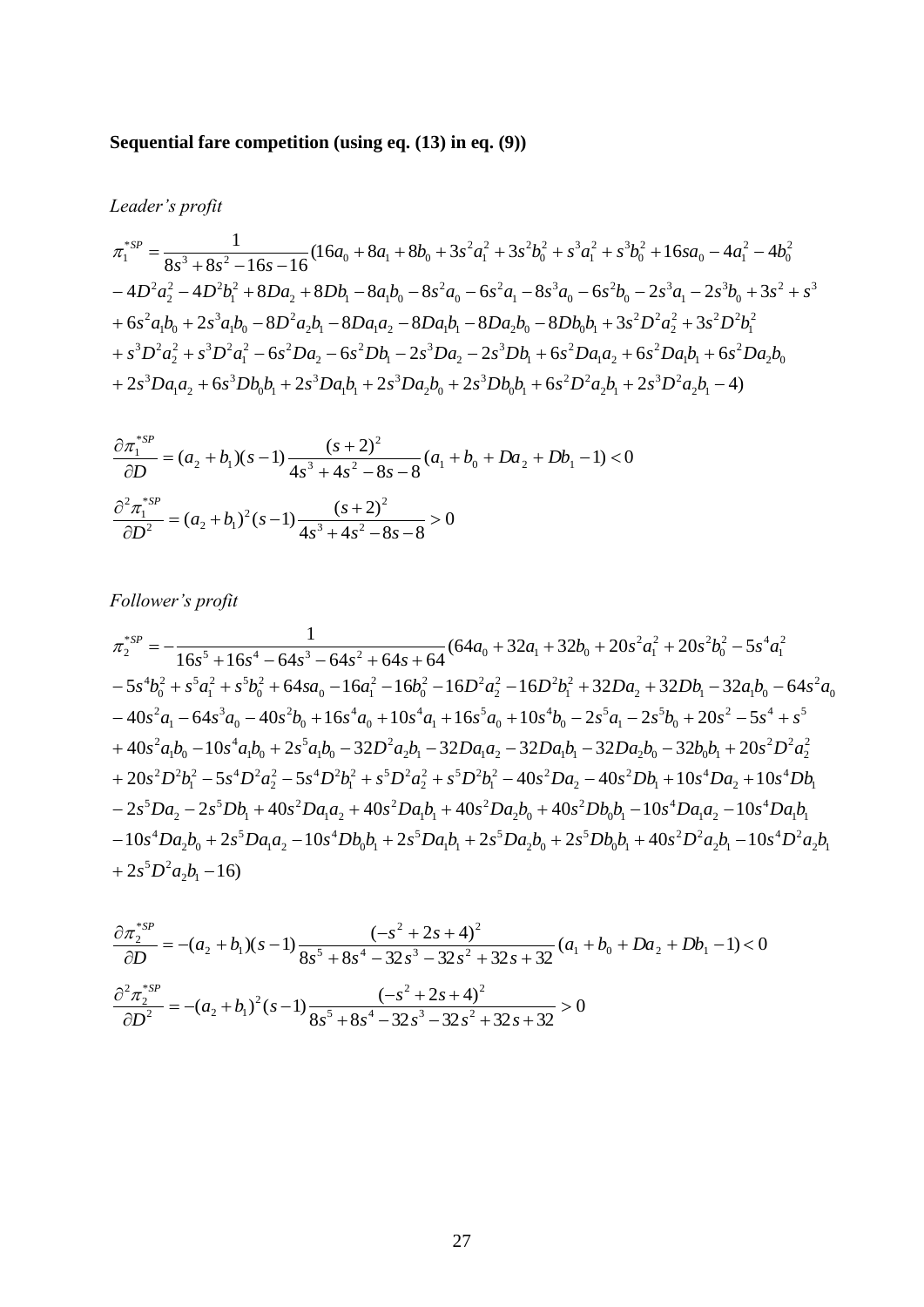## **Sequential fare competition (using eq. (13) in eq. (9))**

*Leader's profit*

$$
\pi_1^{*SP} = \frac{1}{8s^3 + 8s^2 - 16s - 16} (16a_0 + 8a_1 + 8b_0 + 3s^2a_1^2 + 3s^2b_0^2 + s^3a_1^2 + s^3b_0^2 + 16sa_0 - 4a_1^2 - 4b_0^2
$$
  
\n
$$
- 4D^2a_2^2 - 4D^2b_1^2 + 8Da_2 + 8Db_1 - 8a_1b_0 - 8s^2a_0 - 6s^2a_1 - 8s^3a_0 - 6s^2b_0 - 2s^3a_1 - 2s^3b_0 + 3s^2 + s^3
$$
  
\n
$$
+ 6s^2a_1b_0 + 2s^3a_1b_0 - 8D^2a_2b_1 - 8Da_1a_2 - 8Da_1b_1 - 8Da_2b_0 - 8Db_0b_1 + 3s^2D^2a_2^2 + 3s^2D^2b_1^2
$$
  
\n
$$
+ s^3D^2a_2^2 + s^3D^2a_1^2 - 6s^2Da_2 - 6s^2Db_1 - 2s^3Da_2 - 2s^3Db_1 + 6s^2Da_1a_2 + 6s^2Da_1b_1 + 6s^2Da_2b_0
$$
  
\n
$$
+ 2s^3Da_1a_2 + 6s^3Db_0b_1 + 2s^3Da_1b_1 + 2s^3Da_2b_0 + 2s^3Db_0b_1 + 6s^2D^2a_2b_1 + 2s^3D^2a_2b_1 - 4)
$$

$$
\frac{\partial \pi_1^{*SP}}{\partial D} = (a_2 + b_1)(s - 1) \frac{(s + 2)^2}{4s^3 + 4s^2 - 8s - 8} (a_1 + b_0 + Da_2 + Db_1 - 1) < 0
$$
  

$$
\frac{\partial^2 \pi_1^{*SP}}{\partial D^2} = (a_2 + b_1)^2 (s - 1) \frac{(s + 2)^2}{4s^3 + 4s^2 - 8s - 8} > 0
$$

*Follower's profit*

$$
\pi_{2}^{*SP} = -\frac{1}{16s^{5} + 16s^{4} - 64s^{3} - 64s^{2} + 64s + 64} (64a_{0} + 32a_{1} + 32b_{0} + 20s^{2}a_{1}^{2} + 20s^{2}b_{0}^{2} - 5s^{4}a_{1}^{2}
$$
  
\n
$$
-5s^{4}b_{0}^{2} + s^{5}a_{1}^{2} + s^{5}b_{0}^{2} + 64sa_{0} - 16a_{1}^{2} - 16b_{0}^{2} - 16D^{2}a_{2}^{2} - 16D^{2}b_{1}^{2} + 32Da_{2} + 32Db_{1} - 32a_{1}b_{0} - 64s^{2}a_{0}
$$
  
\n
$$
-40s^{2}a_{1} - 64s^{3}a_{0} - 40s^{2}b_{0} + 16s^{4}a_{0} + 10s^{4}a_{1} + 16s^{5}a_{0} + 10s^{4}b_{0} - 2s^{5}a_{1} - 2s^{5}b_{0} + 20s^{2} - 5s^{4} + s^{5}
$$
  
\n
$$
+40s^{2}a_{1}b_{0} - 10s^{4}a_{1}b_{0} + 2s^{5}a_{1}b_{0} - 32D^{2}a_{2}b_{1} - 32Da_{1}a_{2} - 32Da_{1}b_{1} - 32Da_{2}b_{0} - 32b_{0}b_{1} + 20s^{2}D^{2}a_{2}^{2}
$$
  
\n
$$
+20s^{2}D^{2}b_{1}^{2} - 5s^{4}D^{2}a_{2}^{2} - 5s^{4}D^{2}b_{1}^{2} + s^{5}D^{2}a_{2}^{2} + s^{5}D^{2}b_{1}^{2} - 40s^{2}Da_{2} - 40s^{2}Db_{1} + 10s^{4}Da_{2} + 10s^{4}Db_{1}
$$
  
\n
$$
-2s^{5}Da_{2} - 2s^{5}Db_{1} + 40s^{2}Da_{1}a_{2} + 40s^{2}Da_{1}b_{1} + 40
$$

$$
\frac{\partial \pi_2^{*SP}}{\partial D} = -(a_2 + b_1)(s - 1) \frac{(-s^2 + 2s + 4)^2}{8s^5 + 8s^4 - 32s^3 - 32s^2 + 32s + 32}(a_1 + b_0 + Da_2 + Db_1 - 1) < 0
$$

$$
\frac{\partial^2 \pi_2^{*SP}}{\partial D^2} = -(a_2 + b_1)^2(s - 1) \frac{(-s^2 + 2s + 4)^2}{8s^5 + 8s^4 - 32s^3 - 32s^2 + 32s + 32} > 0
$$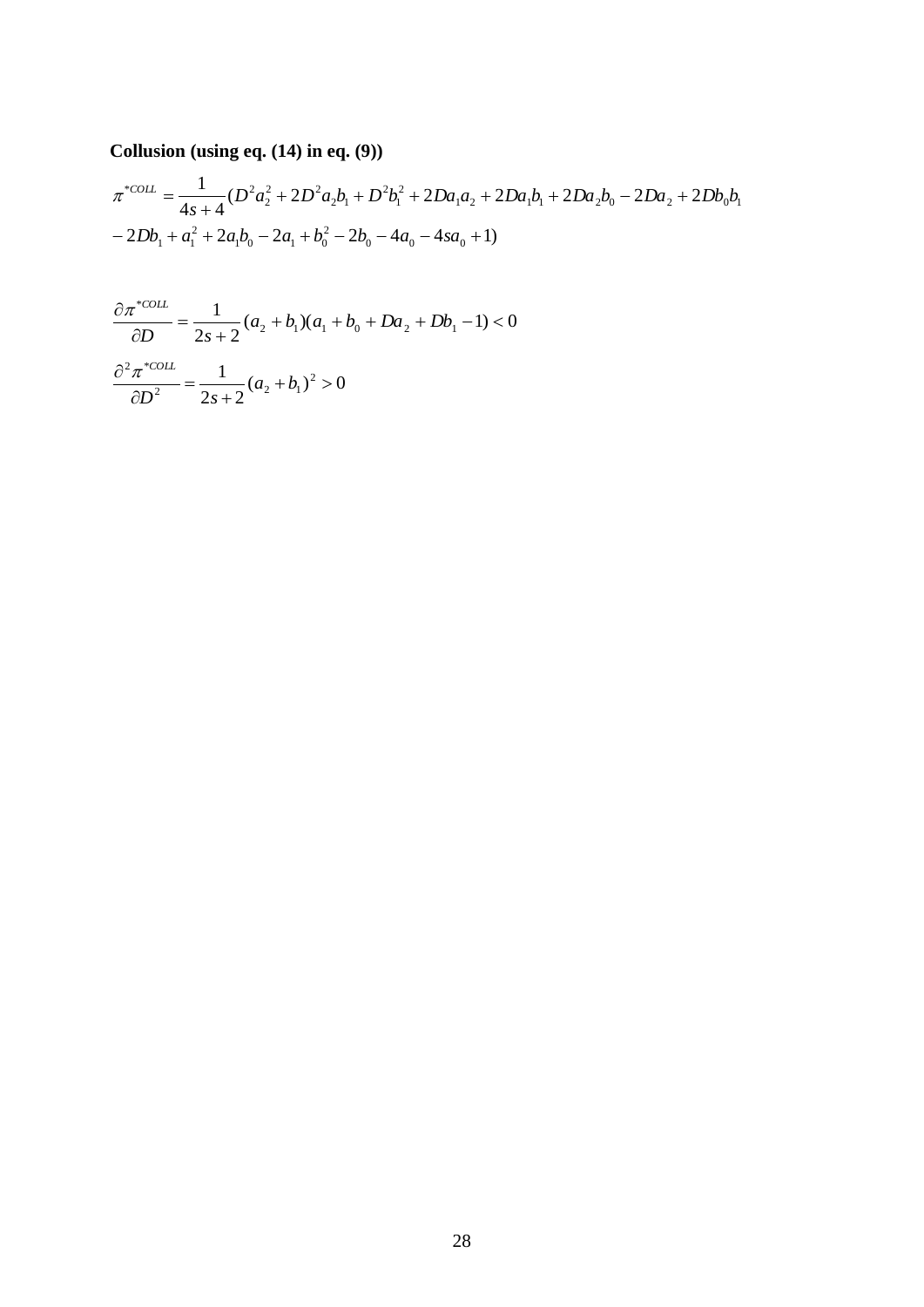# **Collusion (using eq. (14) in eq. (9))**

$$
\pi^{*COL} = \frac{1}{4s+4} (D^2 a_2^2 + 2D^2 a_2 b_1 + D^2 b_1^2 + 2D a_1 a_2 + 2D a_1 b_1 + 2D a_2 b_0 - 2D a_2 + 2D b_0 b_1
$$
  
- 2Db<sub>1</sub> + a<sub>1</sub><sup>2</sup> + 2a<sub>1</sub>b<sub>0</sub> - 2a<sub>1</sub> + b<sub>0</sub><sup>2</sup> - 2b<sub>0</sub> - 4a<sub>0</sub> - 4sa<sub>0</sub> + 1)

$$
\frac{\partial \pi^{*COL}}{\partial D} = \frac{1}{2s+2} (a_2 + b_1)(a_1 + b_0 + Da_2 + Db_1 - 1) < 0
$$

$$
\frac{\partial^2 \pi^{*COL}}{\partial D^2} = \frac{1}{2s+2} (a_2 + b_1)^2 > 0
$$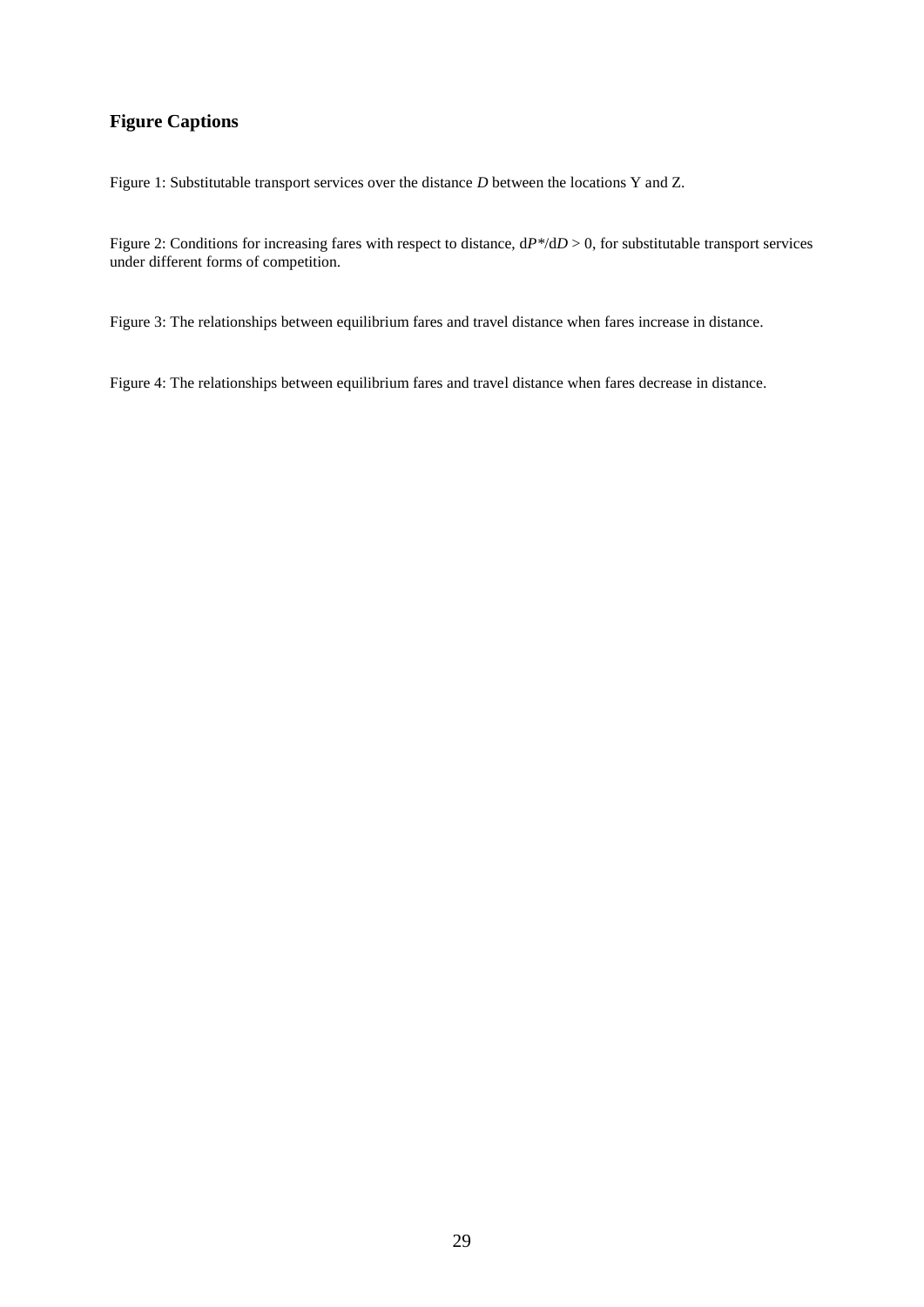## **Figure Captions**

Figure 1: Substitutable transport services over the distance *D* between the locations Y and Z.

Figure 2: Conditions for increasing fares with respect to distance, d*P\**/d*D* > 0, for substitutable transport services under different forms of competition.

Figure 3: The relationships between equilibrium fares and travel distance when fares increase in distance.

Figure 4: The relationships between equilibrium fares and travel distance when fares decrease in distance.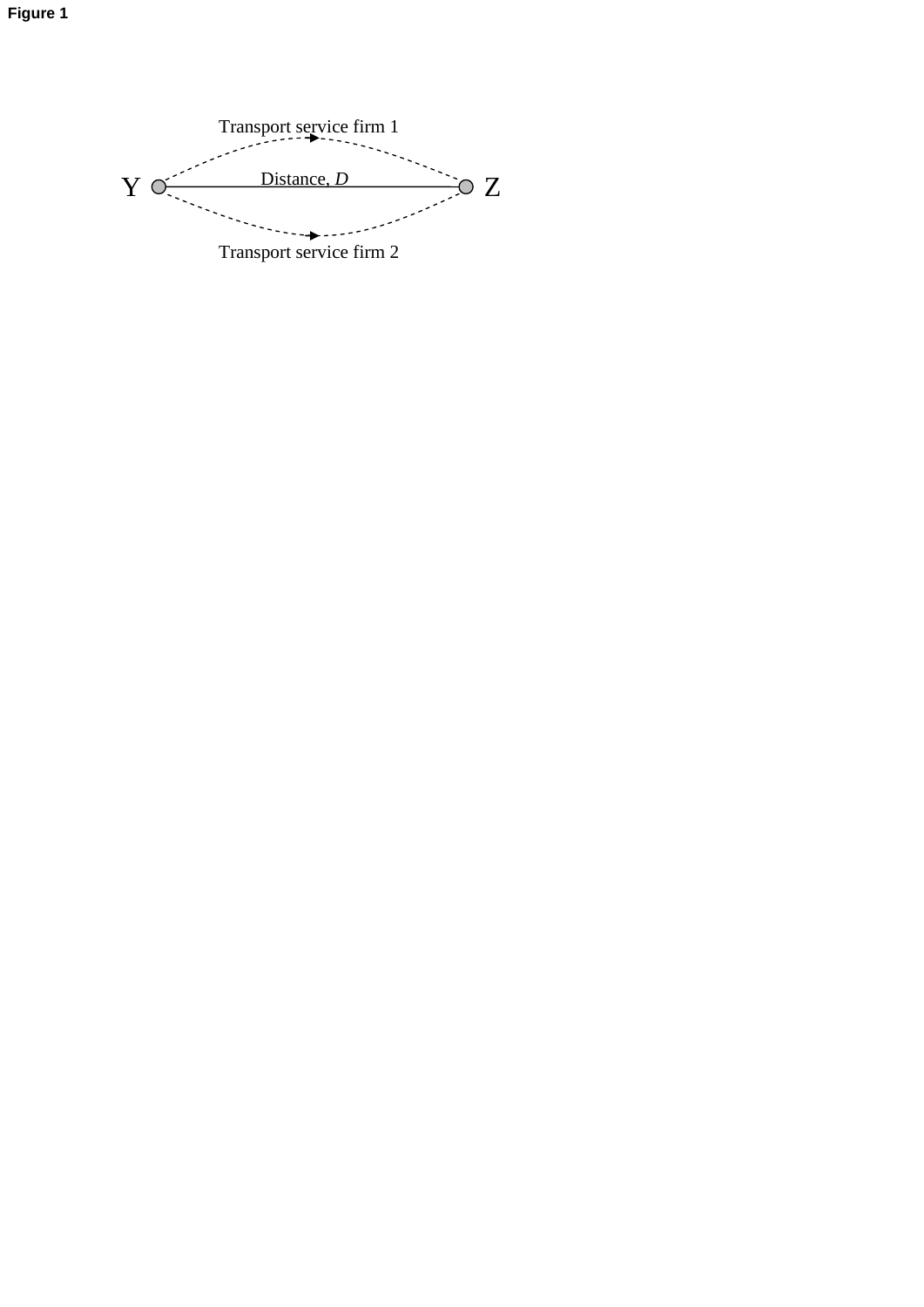Transport service firm 1  $Y \nightharpoonup^{\sim}$  Distance, D Distance, *D* .<br>Terry a -------Transport service firm 2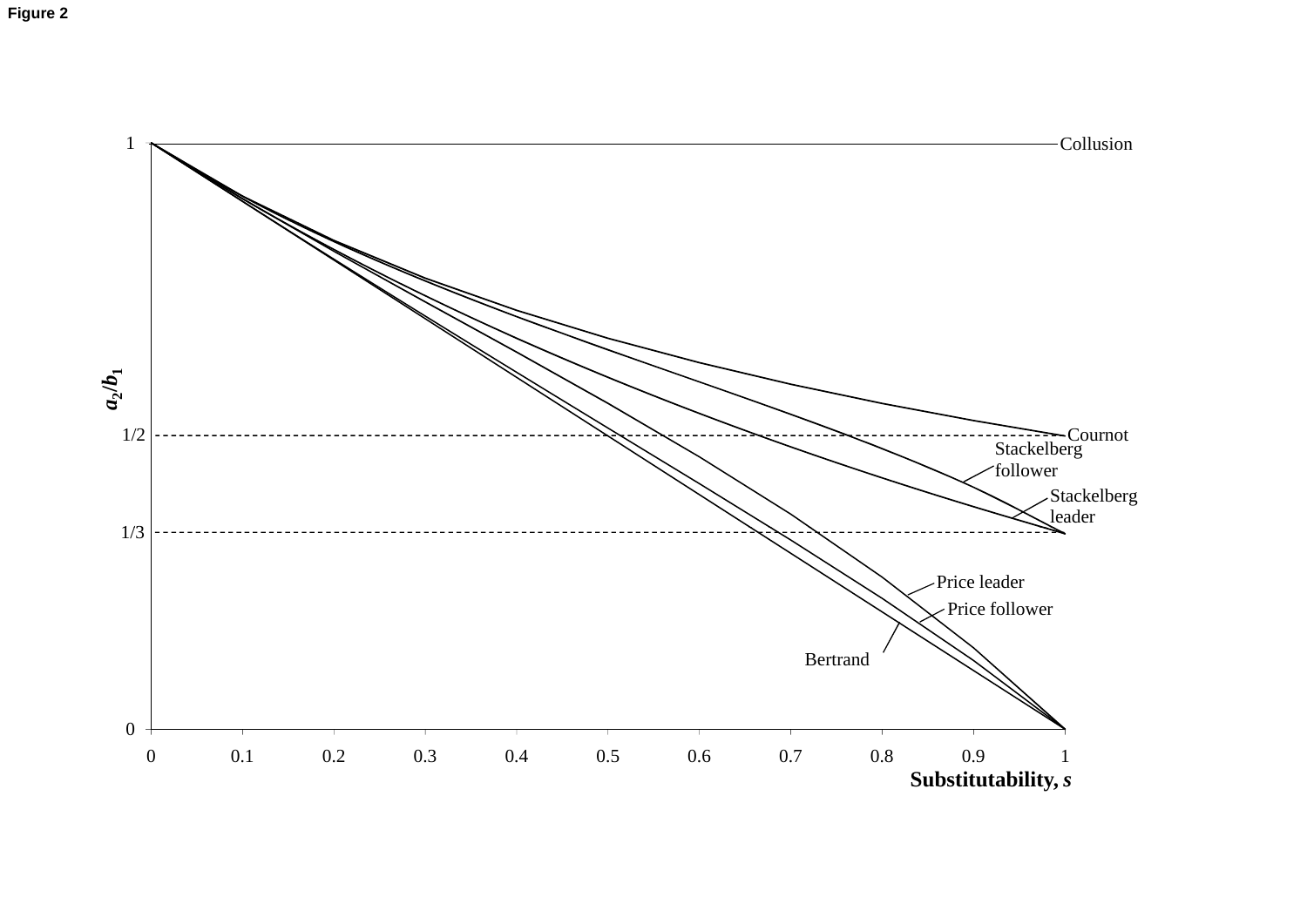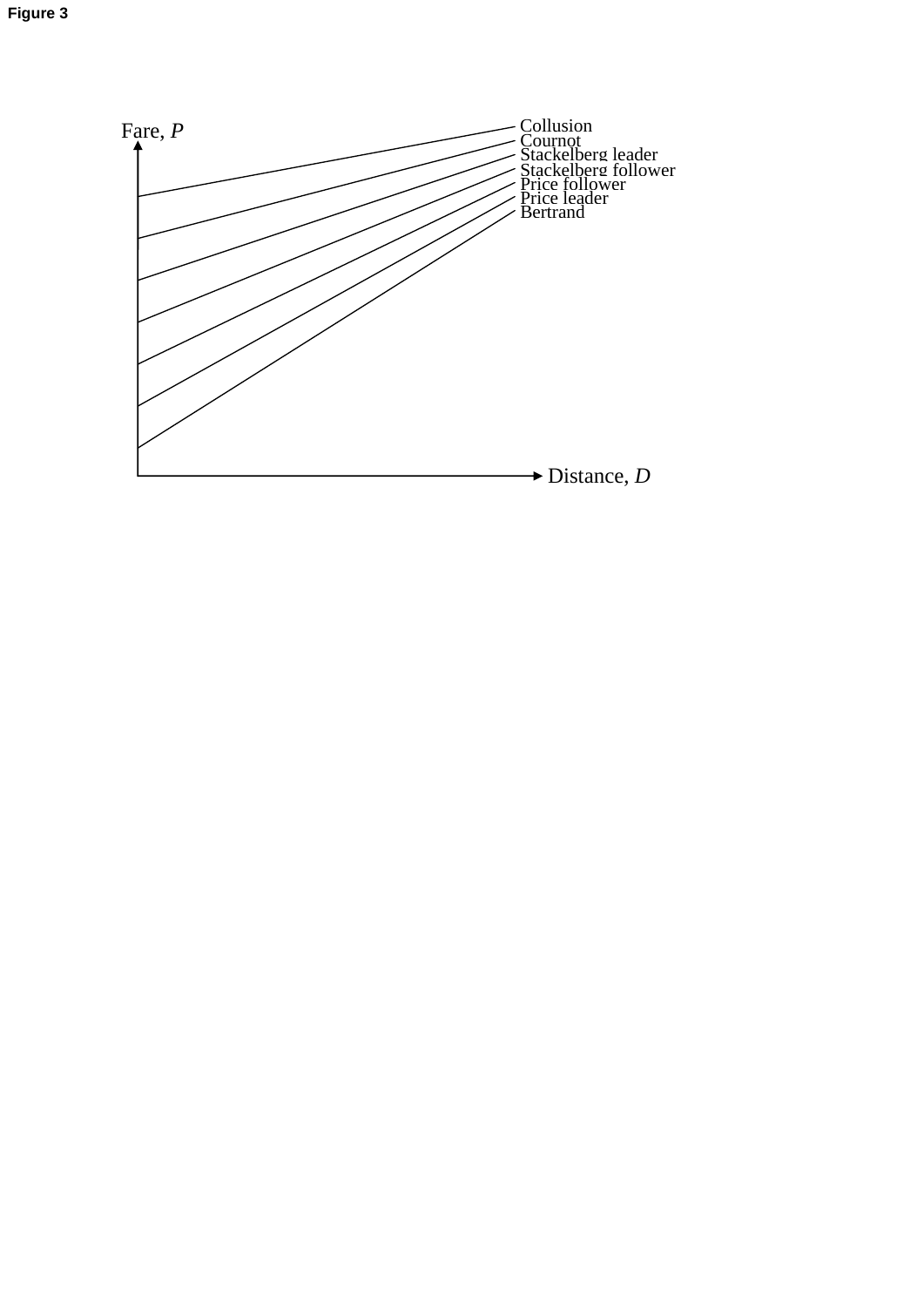